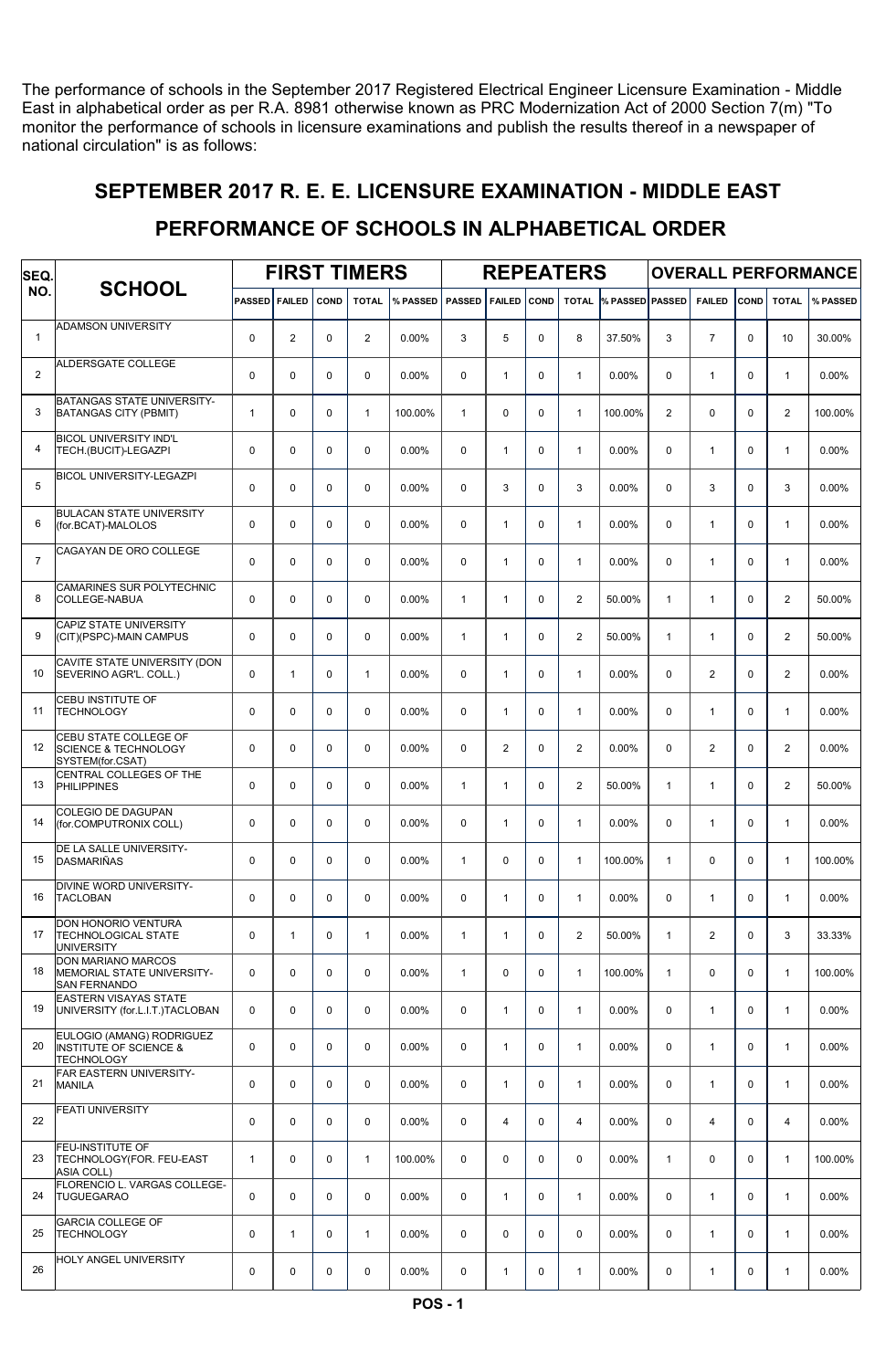The performance of schools in the September 2017 Registered Electrical Engineer Licensure Examination - Middle East in alphabetical order as per R.A. 8981 otherwise known as PRC Modernization Act of 2000 Section 7(m) "To monitor the performance of schools in licensure examinations and publish the results thereof in a newspaper of national circulation" is as follows:

#### SEPTEMBER 2017 R. E. E. LICENSURE EXAMINATION - MIDDLE EAST

#### PERFORMANCE OF SCHOOLS IN ALPHABETICAL ORDER

| SEQ.           |                                                                                     |               |                |             | <b>FIRST TIMERS</b> |          |               |                |             | <b>REPEATERS</b> |                 |                |                |             |                | <b>OVERALL PERFORMANCE</b> |
|----------------|-------------------------------------------------------------------------------------|---------------|----------------|-------------|---------------------|----------|---------------|----------------|-------------|------------------|-----------------|----------------|----------------|-------------|----------------|----------------------------|
| NO.            | <b>SCHOOL</b>                                                                       | <b>PASSED</b> | <b>FAILED</b>  | <b>COND</b> | <b>TOTAL</b>        | % PASSED | <b>PASSED</b> | <b>FAILED</b>  | <b>COND</b> | <b>TOTAL</b>     | % PASSED PASSED |                | <b>FAILED</b>  | COND        | <b>TOTAL</b>   | % PASSED                   |
| $\mathbf{1}$   | <b>ADAMSON UNIVERSITY</b>                                                           | $\mathbf 0$   | $\overline{2}$ | $\mathbf 0$ | $\mathbf{2}$        | 0.00%    | 3             | 5              | 0           | 8                | 37.50%          | 3              | $\overline{7}$ | $\Omega$    | 10             | 30.00%                     |
| 2              | ALDERSGATE COLLEGE                                                                  | $\mathbf 0$   | 0              | $\mathbf 0$ | $\mathbf 0$         | 0.00%    | 0             | $\mathbf{1}$   | 0           | $\mathbf{1}$     | 0.00%           | $\mathbf 0$    | $\mathbf{1}$   | $\Omega$    | $\mathbf{1}$   | 0.00%                      |
| 3              | BATANGAS STATE UNIVERSITY-<br><b>BATANGAS CITY (PBMIT)</b>                          | $\mathbf{1}$  | 0              | $\Omega$    | $\mathbf{1}$        | 100.00%  | $\mathbf{1}$  | $\Omega$       | 0           | $\mathbf{1}$     | 100.00%         | $\overline{a}$ | $\mathbf 0$    | $\Omega$    | $\mathbf{2}$   | 100.00%                    |
| 4              | <b>BICOL UNIVERSITY IND'L</b><br>TECH.(BUCIT)-LEGAZPI                               | $\mathbf 0$   | 0              | $\mathbf 0$ | $\mathbf 0$         | 0.00%    | 0             | $\mathbf{1}$   | 0           | $\mathbf{1}$     | 0.00%           | 0              | $\mathbf{1}$   | $\Omega$    | $\mathbf{1}$   | 0.00%                      |
| 5              | <b>BICOL UNIVERSITY-LEGAZPI</b>                                                     | $\mathbf 0$   | 0              | $\mathbf 0$ | $\mathbf 0$         | 0.00%    | 0             | 3              | 0           | 3                | 0.00%           | 0              | 3              | $\Omega$    | 3              | 0.00%                      |
| 6              | <b>BULACAN STATE UNIVERSITY</b><br>(for.BCAT)-MALOLOS                               | 0             | 0              | $\mathbf 0$ | $\Omega$            | 0.00%    | 0             | $\mathbf{1}$   | 0           | $\mathbf{1}$     | 0.00%           | $\mathbf 0$    | $\mathbf{1}$   | $\Omega$    | $\mathbf{1}$   | 0.00%                      |
| $\overline{7}$ | CAGAYAN DE ORO COLLEGE                                                              | $\mathbf 0$   | $\Omega$       | $\Omega$    | $\Omega$            | 0.00%    | $\Omega$      | $\mathbf{1}$   | $\Omega$    | $\mathbf{1}$     | 0.00%           | $\Omega$       | $\mathbf{1}$   | $\Omega$    | $\mathbf{1}$   | 0.00%                      |
| 8              | CAMARINES SUR POLYTECHNIC<br>COLLEGE-NABUA                                          | $\mathbf 0$   | $\Omega$       | $\Omega$    | $\Omega$            | 0.00%    | $\mathbf{1}$  | $\mathbf{1}$   | $\Omega$    | $\overline{2}$   | 50.00%          | $\mathbf{1}$   | $\mathbf{1}$   | $\Omega$    | $\mathbf{2}$   | 50.00%                     |
| 9              | CAPIZ STATE UNIVERSITY<br>(CIT)(PSPC)-MAIN CAMPUS                                   | $\mathbf 0$   | $\Omega$       | $\Omega$    | $\Omega$            | 0.00%    | $\mathbf{1}$  | $\mathbf{1}$   | $\Omega$    | $\overline{2}$   | 50.00%          | $\mathbf{1}$   | $\mathbf{1}$   | $\Omega$    | $\mathbf{2}$   | 50.00%                     |
| 10             | CAVITE STATE UNIVERSITY (DON<br>SEVERINO AGR'L. COLL.)                              | $\mathbf 0$   | $\mathbf{1}$   | $\mathbf 0$ | $\mathbf{1}$        | 0.00%    | 0             | $\mathbf{1}$   | 0           | $\mathbf{1}$     | 0.00%           | $\mathbf 0$    | $\overline{2}$ | $\Omega$    | $\mathbf{2}$   | 0.00%                      |
| 11             | CEBU INSTITUTE OF<br><b>TECHNOLOGY</b>                                              | $\mathbf 0$   | 0              | $\mathbf 0$ | 0                   | 0.00%    | 0             | $\mathbf{1}$   | 0           | $\mathbf{1}$     | 0.00%           | $\mathbf 0$    | $\mathbf{1}$   | $\Omega$    | $\mathbf{1}$   | 0.00%                      |
| 12             | CEBU STATE COLLEGE OF<br><b>SCIENCE &amp; TECHNOLOGY</b><br>SYSTEM(for.CSAT)        | $\mathbf 0$   | 0              | $\Omega$    | $\Omega$            | 0.00%    | $\Omega$      | $\overline{2}$ | 0           | $\overline{2}$   | 0.00%           | $\Omega$       | $\mathbf{2}$   | $\Omega$    | $\mathbf{2}$   | 0.00%                      |
| 13             | CENTRAL COLLEGES OF THE<br><b>PHILIPPINES</b>                                       | $\mathbf 0$   | 0              | $\Omega$    | $\Omega$            | 0.00%    | $\mathbf{1}$  | $\mathbf{1}$   | $\Omega$    | $\overline{2}$   | 50.00%          | $\mathbf{1}$   | $\mathbf{1}$   | $\Omega$    | $\mathbf{2}$   | 50.00%                     |
| 14             | COLEGIO DE DAGUPAN<br>(for.COMPUTRONIX COLL)                                        | $\mathbf 0$   | 0              | $\Omega$    | $\Omega$            | 0.00%    | $\Omega$      | $\mathbf{1}$   | 0           | $\mathbf{1}$     | 0.00%           | $\Omega$       | $\mathbf{1}$   | $\Omega$    | $\mathbf{1}$   | 0.00%                      |
| 15             | DE LA SALLE UNIVERSITY-<br><b>DASMARIÑAS</b>                                        | $\mathbf 0$   | $\Omega$       | $\Omega$    | $\Omega$            | 0.00%    | $\mathbf{1}$  | $\Omega$       | $\Omega$    | $\mathbf{1}$     | 100.00%         | $\mathbf{1}$   | $\Omega$       | $\Omega$    | $\mathbf{1}$   | 100.00%                    |
| 16             | DIVINE WORD UNIVERSITY-<br><b>TACLOBAN</b>                                          | $\mathbf 0$   | 0              | $\Omega$    | $\Omega$            | 0.00%    | $\Omega$      | $\mathbf{1}$   | 0           | $\mathbf{1}$     | 0.00%           | 0              | $\mathbf{1}$   | $\Omega$    | $\mathbf{1}$   | 0.00%                      |
| 17             | DON HONORIO VENTURA<br><b>TECHNOLOGICAL STATE</b><br><b>UNIVERSITY</b>              | 0             | $\mathbf{1}$   | $\mathbf 0$ | 1                   | 0.00%    | $\mathbf{1}$  | $\mathbf{1}$   | 0           | $\overline{2}$   | 50.00%          | $\mathbf{1}$   | 2              | $\mathbf 0$ | 3              | 33.33%                     |
| 18             | DON MARIANO MARCOS<br>MEMORIAL STATE UNIVERSITY-<br><b>SAN FERNANDO</b>             | 0             | 0              | $\mathbf 0$ | $\mathsf 0$         | 0.00%    | $\mathbf{1}$  | 0              | 0           | $\mathbf{1}$     | 100.00%         | $\mathbf{1}$   | $\mathbf 0$    | $\mathbf 0$ | $\mathbf{1}$   | 100.00%                    |
| 19             | <b>EASTERN VISAYAS STATE</b><br>UNIVERSITY (for.L.I.T.)TACLOBAN                     | 0             | $\mathbf 0$    | $\mathbf 0$ | $\mathbf 0$         | 0.00%    | 0             | $\mathbf{1}$   | 0           | $\mathbf{1}$     | $0.00\%$        | $\mathbf 0$    | $\mathbf{1}$   | $\mathbf 0$ | $\mathbf{1}$   | $0.00\%$                   |
| 20             | EULOGIO (AMANG) RODRIGUEZ<br><b>INSTITUTE OF SCIENCE &amp;</b><br><b>TECHNOLOGY</b> | 0             | 0              | $\mathbf 0$ | $\mathbf 0$         | $0.00\%$ | 0             | $\mathbf{1}$   | 0           | $\mathbf{1}$     | $0.00\%$        | 0              | $\mathbf{1}$   | $\Omega$    | $\mathbf{1}$   | $0.00\%$                   |
| 21             | FAR EASTERN UNIVERSITY-<br><b>MANILA</b>                                            | $\mathbf 0$   | 0              | $\mathbf 0$ | $\mathbf 0$         | 0.00%    | 0             | $\mathbf{1}$   | 0           | $\mathbf{1}$     | $0.00\%$        | $\mathbf 0$    | $\mathbf{1}$   | $\mathbf 0$ | $\mathbf{1}$   | $0.00\%$                   |
| 22             | <b>FEATI UNIVERSITY</b>                                                             | 0             | $\mathbf 0$    | $\mathbf 0$ | $\pmb{0}$           | 0.00%    | $\mathbf 0$   | $\overline{4}$ | 0           | 4                | $0.00\%$        | $\mathbf 0$    | $\overline{4}$ | $\mathbf 0$ | $\overline{4}$ | 0.00%                      |
| 23             | FEU-INSTITUTE OF<br>TECHNOLOGY(FOR. FEU-EAST<br><b>ASIA COLL)</b>                   | $\mathbf{1}$  | $\mathbf 0$    | $\mathbf 0$ | $\mathbf{1}$        | 100.00%  | 0             | $\mathbf 0$    | 0           | $\mathbf 0$      | $0.00\%$        | $\mathbf{1}$   | $\mathbf 0$    | $\mathbf 0$ | $\mathbf{1}$   | 100.00%                    |
| 24             | FLORENCIO L. VARGAS COLLEGE-<br><b>TUGUEGARAO</b>                                   | 0             | $\mathbf 0$    | $\mathbf 0$ | $\mathbf 0$         | 0.00%    | 0             | $\mathbf{1}$   | $\mathbf 0$ | $\mathbf{1}$     | $0.00\%$        | $\mathbf 0$    | $\mathbf{1}$   | 0           | $\mathbf{1}$   | 0.00%                      |
| 25             | <b>GARCIA COLLEGE OF</b><br><b>TECHNOLOGY</b>                                       | 0             | $\mathbf{1}$   | $\mathbf 0$ | 1                   | 0.00%    | $\mathbf 0$   | $\mathbf 0$    | 0           | $\mathbf 0$      | 0.00%           | $\mathbf 0$    | $\mathbf{1}$   | $\mathbf 0$ | $\mathbf{1}$   | $0.00\%$                   |
| 26             | HOLY ANGEL UNIVERSITY                                                               | 0             | 0              | 0           | 0                   | 0.00%    | 0             | $\mathbf{1}$   | 0           | $\mathbf{1}$     | $0.00\%$        | 0              | $\mathbf{1}$   | 0           | $\mathbf{1}$   | $0.00\%$                   |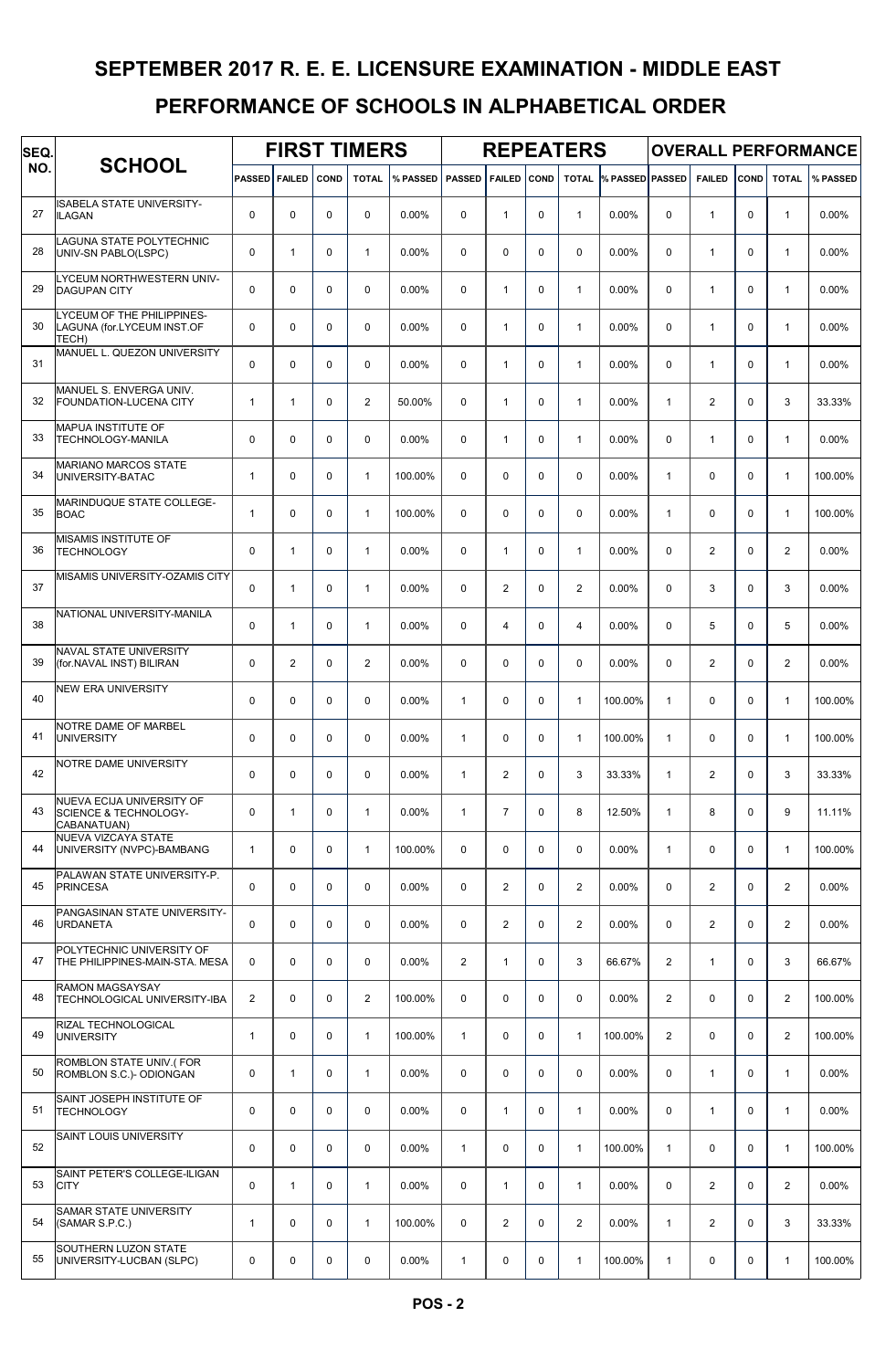| SEQ. |                                                                              |                      |                |             | <b>FIRST TIMERS</b> |          |               |                |             | <b>REPEATERS</b> |                        |                |                |             |                | <b>OVERALL PERFORMANCE</b> |
|------|------------------------------------------------------------------------------|----------------------|----------------|-------------|---------------------|----------|---------------|----------------|-------------|------------------|------------------------|----------------|----------------|-------------|----------------|----------------------------|
| NO.  | <b>SCHOOL</b>                                                                | <b>PASSED FAILED</b> |                | COND        | <b>TOTAL</b>        | % PASSED | <b>PASSED</b> | <b>FAILED</b>  | <b>COND</b> | <b>TOTAL</b>     | <b>% PASSED PASSED</b> |                | <b>FAILED</b>  | COND        | <b>TOTAL</b>   | % PASSED                   |
| 27   | <b>ISABELA STATE UNIVERSITY-</b><br><b>ILAGAN</b>                            | $\mathbf 0$          | 0              | $\mathbf 0$ | $\mathbf 0$         | 0.00%    | 0             | $\mathbf{1}$   | $\mathbf 0$ | $\mathbf{1}$     | 0.00%                  | $\mathbf 0$    | $\mathbf{1}$   | $\Omega$    | $\mathbf{1}$   | 0.00%                      |
| 28   | LAGUNA STATE POLYTECHNIC<br>UNIV-SN PABLO(LSPC)                              | $\mathbf 0$          | $\mathbf{1}$   | $\mathbf 0$ | $\mathbf{1}$        | 0.00%    | $\mathbf 0$   | 0              | $\mathbf 0$ | $\mathbf 0$      | 0.00%                  | $\mathbf 0$    | $\mathbf{1}$   | $\Omega$    | $\mathbf{1}$   | 0.00%                      |
| 29   | LYCEUM NORTHWESTERN UNIV-<br><b>DAGUPAN CITY</b>                             | $\mathbf 0$          | 0              | $\mathbf 0$ | $\mathbf 0$         | $0.00\%$ | 0             | $\mathbf{1}$   | $\mathbf 0$ | $\mathbf{1}$     | 0.00%                  | $\mathbf 0$    | $\mathbf{1}$   | $\Omega$    | $\mathbf{1}$   | 0.00%                      |
| 30   | LYCEUM OF THE PHILIPPINES-<br>LAGUNA (for.LYCEUM INST.OF<br>TECH)            | $\mathbf 0$          | 0              | $\mathbf 0$ | $\mathbf 0$         | 0.00%    | 0             | $\mathbf{1}$   | $\mathbf 0$ | $\mathbf{1}$     | 0.00%                  | $\mathbf 0$    | $\mathbf{1}$   | $\Omega$    | $\mathbf{1}$   | 0.00%                      |
| 31   | MANUEL L. QUEZON UNIVERSITY                                                  | $\mathbf 0$          | 0              | $\mathbf 0$ | $\mathbf 0$         | 0.00%    | 0             | $\mathbf{1}$   | $\mathbf 0$ | $\mathbf{1}$     | 0.00%                  | $\mathbf 0$    | $\mathbf{1}$   | $\Omega$    | $\mathbf{1}$   | 0.00%                      |
| 32   | MANUEL S. ENVERGA UNIV.<br><b>FOUNDATION-LUCENA CITY</b>                     | $\mathbf{1}$         | $\mathbf{1}$   | $\mathbf 0$ | $\overline{2}$      | 50.00%   | 0             | $\mathbf{1}$   | $\mathbf 0$ | $\mathbf{1}$     | 0.00%                  | $\mathbf{1}$   | 2              | $\Omega$    | 3              | 33.33%                     |
| 33   | MAPUA INSTITUTE OF<br>TECHNOLOGY-MANILA                                      | $\mathbf 0$          | 0              | $\mathbf 0$ | $\Omega$            | $0.00\%$ | $\Omega$      | $\mathbf{1}$   | $\mathbf 0$ | $\mathbf{1}$     | 0.00%                  | $\mathbf 0$    | $\mathbf{1}$   | $\Omega$    | $\mathbf{1}$   | 0.00%                      |
| 34   | <b>MARIANO MARCOS STATE</b><br>UNIVERSITY-BATAC                              | $\mathbf{1}$         | 0              | 0           | $\mathbf{1}$        | 100.00%  | 0             | 0              | $\mathbf 0$ | 0                | 0.00%                  | $\mathbf{1}$   | 0              | $\Omega$    | $\mathbf{1}$   | 100.00%                    |
| 35   | <b>MARINDUQUE STATE COLLEGE-</b><br><b>BOAC</b>                              | $\mathbf{1}$         | 0              | $\mathbf 0$ | $\mathbf{1}$        | 100.00%  | 0             | 0              | $\mathbf 0$ | $\mathbf 0$      | 0.00%                  | $\mathbf{1}$   | $\mathbf 0$    | $\Omega$    | $\mathbf{1}$   | 100.00%                    |
| 36   | MISAMIS INSTITUTE OF<br><b>TECHNOLOGY</b>                                    | $\mathbf 0$          | $\mathbf{1}$   | $\mathbf 0$ | $\mathbf{1}$        | 0.00%    | $\mathbf 0$   | $\mathbf{1}$   | $\mathbf 0$ | $\mathbf{1}$     | 0.00%                  | $\mathbf 0$    | 2              | $\Omega$    | $\overline{2}$ | 0.00%                      |
| 37   | MISAMIS UNIVERSITY-OZAMIS CITY                                               | $\mathbf 0$          | $\mathbf{1}$   | $\mathbf 0$ | $\mathbf{1}$        | $0.00\%$ | $\mathbf 0$   | $\overline{2}$ | $\mathbf 0$ | $\overline{2}$   | 0.00%                  | $\mathbf 0$    | 3              | $\Omega$    | 3              | 0.00%                      |
| 38   | NATIONAL UNIVERSITY-MANILA                                                   | $\mathbf 0$          | $\mathbf{1}$   | $\mathbf 0$ | $\mathbf{1}$        | 0.00%    | 0             | $\overline{4}$ | $\mathbf 0$ | 4                | 0.00%                  | 0              | 5              | $\Omega$    | 5              | 0.00%                      |
| 39   | NAVAL STATE UNIVERSITY<br>(for.NAVAL INST) BILIRAN                           | $\mathbf 0$          | $\overline{2}$ | $\mathbf 0$ | $\overline{2}$      | 0.00%    | 0             | 0              | $\mathbf 0$ | 0                | 0.00%                  | $\mathbf 0$    | 2              | $\Omega$    | 2              | 0.00%                      |
| 40   | <b>NEW ERA UNIVERSITY</b>                                                    | $\mathbf 0$          | 0              | $\mathbf 0$ | $\mathbf 0$         | 0.00%    | $\mathbf{1}$  | 0              | $\mathbf 0$ | $\mathbf{1}$     | 100.00%                | $\mathbf{1}$   | $\mathbf 0$    | $\Omega$    | $\mathbf{1}$   | 100.00%                    |
| 41   | NOTRE DAME OF MARBEL<br><b>UNIVERSITY</b>                                    | $\mathbf 0$          | 0              | $\mathbf 0$ | $\Omega$            | 0.00%    | $\mathbf{1}$  | 0              | $\mathbf 0$ | $\mathbf{1}$     | 100.00%                | $\mathbf{1}$   | $\mathbf 0$    | $\Omega$    | $\mathbf{1}$   | 100.00%                    |
| 42   | NOTRE DAME UNIVERSITY                                                        | $\mathbf 0$          | 0              | 0           | $\Omega$            | 0.00%    | $\mathbf{1}$  | $\overline{2}$ | $\mathbf 0$ | 3                | 33.33%                 | $\mathbf{1}$   | $\overline{2}$ | $\Omega$    | 3              | 33.33%                     |
| 43   | NUEVA ECIJA UNIVERSITY OF<br><b>SCIENCE &amp; TECHNOLOGY-</b><br>CABANATUAN) | $\mathbf 0$          | 1              | $\mathbf 0$ | $\mathbf{1}$        | 0.00%    | $\mathbf{1}$  | $\overline{7}$ | $\pmb{0}$   | 8                | 12.50%                 | $\mathbf{1}$   | 8              | $\mathbf 0$ | 9              | 11.11%                     |
| 44   | NUEVA VIZCAYA STATE<br>UNIVERSITY (NVPC)-BAMBANG                             | $\mathbf{1}$         | 0              | $\mathbf 0$ | $\mathbf{1}$        | 100.00%  | 0             | 0              | $\mathbf 0$ | $\mathbf 0$      | $0.00\%$               | $\mathbf{1}$   | 0              | $\mathbf 0$ | $\mathbf{1}$   | 100.00%                    |
| 45   | PALAWAN STATE UNIVERSITY-P.<br><b>PRINCESA</b>                               | $\pmb{0}$            | 0              | $\mathbf 0$ | $\mathbf 0$         | 0.00%    | $\mathbf 0$   | 2              | 0           | $\overline{c}$   | $0.00\%$               | $\mathbf 0$    | 2              | $\Omega$    | $\overline{2}$ | 0.00%                      |
| 46   | PANGASINAN STATE UNIVERSITY-<br><b>URDANETA</b>                              | $\mathbf 0$          | 0              | 0           | $\mathbf 0$         | 0.00%    | $\mathbf 0$   | 2              | $\mathbf 0$ | 2                | $0.00\%$               | 0              | 2              | $\Omega$    | $\overline{2}$ | 0.00%                      |
| 47   | POLYTECHNIC UNIVERSITY OF<br>THE PHILIPPINES-MAIN-STA, MESA                  | 0                    | 0              | $\mathbf 0$ | $\mathbf 0$         | 0.00%    | 2             | $\mathbf{1}$   | $\mathbf 0$ | 3                | 66.67%                 | $\overline{2}$ | $\mathbf{1}$   | $\Omega$    | 3              | 66.67%                     |
| 48   | RAMON MAGSAYSAY<br>TECHNOLOGICAL UNIVERSITY-IBA                              | $\overline{2}$       | $\mathbf 0$    | $\mathbf 0$ | $\overline{2}$      | 100.00%  | $\mathbf 0$   | 0              | $\mathbf 0$ | $\mathbf 0$      | $0.00\%$               | $\overline{2}$ | 0              | $\mathbf 0$ | $\overline{2}$ | 100.00%                    |
| 49   | RIZAL TECHNOLOGICAL<br><b>UNIVERSITY</b>                                     | $\mathbf{1}$         | 0              | $\mathbf 0$ | $\mathbf{1}$        | 100.00%  | $\mathbf{1}$  | 0              | 0           | $\mathbf{1}$     | 100.00%                | 2              | $\mathbf 0$    | $\mathbf 0$ | $\overline{2}$ | 100.00%                    |
| 50   | ROMBLON STATE UNIV.(FOR<br>ROMBLON S.C.)- ODIONGAN                           | 0                    | $\mathbf{1}$   | 0           | $\mathbf{1}$        | 0.00%    | $\mathbf 0$   | 0              | $\mathbf 0$ | 0                | $0.00\%$               | $\mathbf 0$    | $\mathbf{1}$   | $\mathbf 0$ | $\mathbf{1}$   | 0.00%                      |
| 51   | SAINT JOSEPH INSTITUTE OF<br><b>TECHNOLOGY</b>                               | $\pmb{0}$            | 0              | $\mathbf 0$ | $\mathbf 0$         | 0.00%    | $\mathbf 0$   | $\mathbf{1}$   | 0           | 1                | 0.00%                  | $\mathbf 0$    | $\mathbf{1}$   | $\mathbf 0$ | $\mathbf{1}$   | 0.00%                      |
| 52   | SAINT LOUIS UNIVERSITY                                                       | $\pmb{0}$            | 0              | $\mathbf 0$ | $\mathbf 0$         | 0.00%    | $\mathbf{1}$  | 0              | $\mathbf 0$ | 1                | 100.00%                | $\mathbf{1}$   | $\mathbf 0$    | $\mathbf 0$ | $\mathbf{1}$   | 100.00%                    |
| 53   | SAINT PETER'S COLLEGE-ILIGAN<br><b>CITY</b>                                  | $\pmb{0}$            | $\mathbf{1}$   | $\mathbf 0$ | $\mathbf{1}$        | 0.00%    | 0             | $\mathbf{1}$   | $\mathbf 0$ | $\mathbf{1}$     | $0.00\%$               | $\mathbf 0$    | 2              | $\Omega$    | $\overline{2}$ | 0.00%                      |
| 54   | SAMAR STATE UNIVERSITY<br>(SAMAR S.P.C.)                                     | $\mathbf{1}$         | 0              | $\mathbf 0$ | $\mathbf{1}$        | 100.00%  | 0             | 2              | $\mathbf 0$ | 2                | $0.00\%$               | $\mathbf{1}$   | 2              | $\Omega$    | 3              | 33.33%                     |
| 55   | SOUTHERN LUZON STATE<br>UNIVERSITY-LUCBAN (SLPC)                             | 0                    | 0              | 0           | 0                   | 0.00%    | $\mathbf{1}$  | 0              | 0           | 1                | 100.00%                | $\mathbf{1}$   | 0              | $\mathbf 0$ | 1              | 100.00%                    |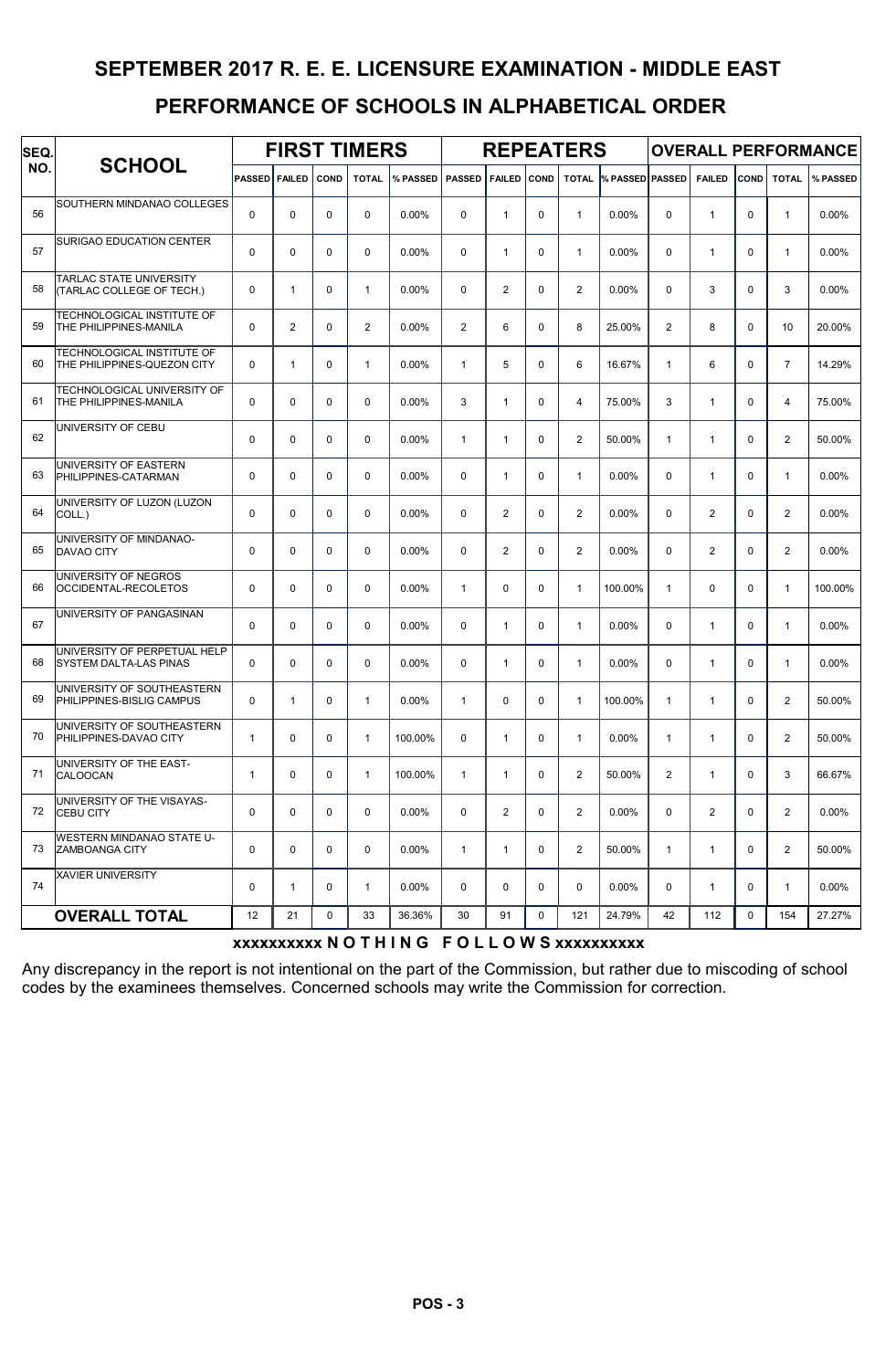| SEQ. |                                                               |                      |              |             | <b>FIRST TIMERS</b> |          |                |                |             | <b>REPEATERS</b> |                              |                |                |             |                | <b>OVERALL PERFORMANCE</b> |
|------|---------------------------------------------------------------|----------------------|--------------|-------------|---------------------|----------|----------------|----------------|-------------|------------------|------------------------------|----------------|----------------|-------------|----------------|----------------------------|
| NO.  | <b>SCHOOL</b>                                                 | <b>PASSED FAILED</b> |              | <b>COND</b> | <b>TOTAL</b>        | % PASSED | <b>PASSED</b>  | <b>FAILED</b>  | COND        |                  | <b>TOTAL % PASSED PASSED</b> |                | <b>FAILED</b>  | COND        | <b>TOTAL</b>   | % PASSED                   |
| 56   | SOUTHERN MINDANAO COLLEGES                                    | $\mathbf 0$          | $\mathbf 0$  | $\mathbf 0$ | $\mathbf 0$         | 0.00%    | 0              | $\mathbf{1}$   | $\mathbf 0$ | $\mathbf{1}$     | 0.00%                        | $\mathbf 0$    | $\mathbf{1}$   | $\mathbf 0$ | $\mathbf{1}$   | 0.00%                      |
| 57   | <b>SURIGAO EDUCATION CENTER</b>                               | $\mathbf 0$          | 0            | $\Omega$    | $\mathbf 0$         | 0.00%    | 0              | $\mathbf{1}$   | $\Omega$    | $\mathbf{1}$     | 0.00%                        | $\Omega$       | $\mathbf{1}$   | $\Omega$    | $\mathbf{1}$   | 0.00%                      |
| 58   | <b>TARLAC STATE UNIVERSITY</b><br>(TARLAC COLLEGE OF TECH.)   | $\mathbf 0$          | $\mathbf{1}$ | $\mathbf 0$ | $\mathbf{1}$        | 0.00%    | 0              | $\overline{2}$ | $\mathbf 0$ | $\overline{2}$   | 0.00%                        | $\mathbf 0$    | 3              | $\Omega$    | 3              | 0.00%                      |
| 59   | TECHNOLOGICAL INSTITUTE OF<br>THE PHILIPPINES-MANILA          | $\mathbf 0$          | $\mathbf{2}$ | $\Omega$    | $\overline{2}$      | 0.00%    | $\overline{2}$ | 6              | $\mathbf 0$ | 8                | 25.00%                       | $\overline{2}$ | 8              | $\Omega$    | 10             | 20.00%                     |
| 60   | TECHNOLOGICAL INSTITUTE OF<br>THE PHILIPPINES-QUEZON CITY     | $\mathbf 0$          | $\mathbf{1}$ | 0           | $\mathbf{1}$        | 0.00%    | $\mathbf{1}$   | 5              | $\mathbf 0$ | 6                | 16.67%                       | $\mathbf{1}$   | 6              | $\mathbf 0$ | $\overline{7}$ | 14.29%                     |
| 61   | TECHNOLOGICAL UNIVERSITY OF<br><b>THE PHILIPPINES-MANILA</b>  | $\mathbf 0$          | $\Omega$     | $\Omega$    | $\Omega$            | 0.00%    | 3              | $\mathbf{1}$   | $\Omega$    | 4                | 75.00%                       | 3              | $\mathbf{1}$   | $\Omega$    | 4              | 75.00%                     |
| 62   | UNIVERSITY OF CEBU                                            | $\mathbf 0$          | 0            | $\Omega$    | $\Omega$            | 0.00%    | $\mathbf{1}$   | $\mathbf{1}$   | $\mathbf 0$ | $\overline{2}$   | 50.00%                       | $\mathbf{1}$   | $\mathbf{1}$   | $\Omega$    | $\mathbf{2}$   | 50.00%                     |
| 63   | UNIVERSITY OF EASTERN<br>PHILIPPINES-CATARMAN                 | $\mathbf 0$          | 0            | $\Omega$    | $\Omega$            | 0.00%    | 0              | $\mathbf{1}$   | $\mathbf 0$ | $\mathbf{1}$     | 0.00%                        | $\Omega$       | $\mathbf{1}$   | $\Omega$    | 1              | 0.00%                      |
| 64   | UNIVERSITY OF LUZON (LUZON<br>COLL.)                          | $\mathbf 0$          | $\mathbf 0$  | $\mathbf 0$ | $\mathbf 0$         | 0.00%    | 0              | $\overline{2}$ | $\mathbf 0$ | $\mathbf{2}$     | 0.00%                        | $\mathbf 0$    | $\mathbf{2}$   | $\mathbf 0$ | $\overline{2}$ | 0.00%                      |
| 65   | UNIVERSITY OF MINDANAO-<br><b>DAVAO CITY</b>                  | $\Omega$             | 0            | $\mathbf 0$ | $\mathbf 0$         | 0.00%    | 0              | $\overline{2}$ | $\mathbf 0$ | $\mathbf{2}$     | 0.00%                        | $\Omega$       | $\mathbf{2}$   | $\Omega$    | $\overline{2}$ | 0.00%                      |
| 66   | UNIVERSITY OF NEGROS<br>OCCIDENTAL-RECOLETOS                  | $\mathbf 0$          | $\mathbf 0$  | 0           | $\Omega$            | 0.00%    | $\mathbf{1}$   | 0              | $\mathbf 0$ | $\mathbf{1}$     | 100.00%                      | $\mathbf{1}$   | $\mathbf 0$    | $\Omega$    | $\mathbf{1}$   | 100.00%                    |
| 67   | UNIVERSITY OF PANGASINAN                                      | $\mathbf 0$          | 0            | $\Omega$    | $\Omega$            | 0.00%    | 0              | 1              | $\mathbf 0$ | $\mathbf{1}$     | 0.00%                        | $\mathbf 0$    | $\mathbf{1}$   | $\Omega$    | 1              | 0.00%                      |
| 68   | UNIVERSITY OF PERPETUAL HELP<br><b>SYSTEM DALTA-LAS PINAS</b> | $\mathbf 0$          | $\mathbf 0$  | $\mathbf 0$ | $\Omega$            | 0.00%    | 0              | $\mathbf{1}$   | $\mathbf 0$ | $\mathbf{1}$     | $0.00\%$                     | $\mathbf 0$    | $\mathbf{1}$   | $\Omega$    | $\mathbf{1}$   | 0.00%                      |
| 69   | UNIVERSITY OF SOUTHEASTERN<br>PHILIPPINES-BISLIG CAMPUS       | $\mathbf 0$          | $\mathbf{1}$ | $\Omega$    | $\mathbf{1}$        | 0.00%    | $\mathbf{1}$   | $\Omega$       | $\Omega$    | $\mathbf{1}$     | 100.00%                      | $\mathbf{1}$   | $\mathbf{1}$   | $\Omega$    | $\overline{2}$ | 50.00%                     |
| 70   | UNIVERSITY OF SOUTHEASTERN<br>PHILIPPINES-DAVAO CITY          | $\mathbf{1}$         | 0            | $\Omega$    | $\mathbf{1}$        | 100.00%  | 0              | $\mathbf{1}$   | $\mathbf 0$ | $\mathbf{1}$     | 0.00%                        | $\mathbf{1}$   | $\mathbf{1}$   | $\Omega$    | $\mathbf{2}$   | 50.00%                     |
| 71   | UNIVERSITY OF THE EAST-<br>CALOOCAN                           | $\mathbf{1}$         | 0            | 0           | $\mathbf{1}$        | 100.00%  | $\mathbf{1}$   | 1              | $\mathbf 0$ | $\overline{2}$   | 50.00%                       | $\overline{2}$ | $\mathbf{1}$   | $\Omega$    | 3              | 66.67%                     |
| 72   | UNIVERSITY OF THE VISAYAS-<br><b>CEBU CITY</b>                | 0                    | $\mathbf 0$  | $\mathbf 0$ | $\mathbf 0$         | 0.00%    | 0              | $\overline{2}$ | $\mathbf 0$ | $\overline{2}$   | 0.00%                        | $\mathbf 0$    | $\overline{2}$ | $\mathbf 0$ | $\overline{2}$ | 0.00%                      |
| 73   | WESTERN MINDANAO STATE U-<br><b>ZAMBOANGA CITY</b>            | $\pmb{0}$            | 0            | $\mathbf 0$ | $\mathbf 0$         | $0.00\%$ | $\mathbf{1}$   | $\mathbf{1}$   | $\mathbf 0$ | 2                | 50.00%                       | $\mathbf{1}$   | $\mathbf{1}$   | $\mathbf 0$ | $\overline{2}$ | 50.00%                     |
| 74   | <b>XAVIER UNIVERSITY</b>                                      | $\pmb{0}$            | $\mathbf{1}$ | 0           | $\mathbf{1}$        | $0.00\%$ | 0              | 0              | $\mathbf 0$ | 0                | 0.00%                        | $\mathbf 0$    | $\mathbf{1}$   | $\mathbf 0$ | $\mathbf{1}$   | 0.00%                      |
|      | <b>OVERALL TOTAL</b>                                          | 12                   | 21           | $\mathbf 0$ | 33                  | 36.36%   | 30             | 91             | $\mathbf 0$ | 121              | 24.79%                       | 42             | 112            | 0           | 154            | 27.27%                     |

#### xxxxxxxxxx N O T H I N G F O L L O W S xxxxxxxxxx

Any discrepancy in the report is not intentional on the part of the Commission, but rather due to miscoding of school codes by the examinees themselves. Concerned schools may write the Commission for correction.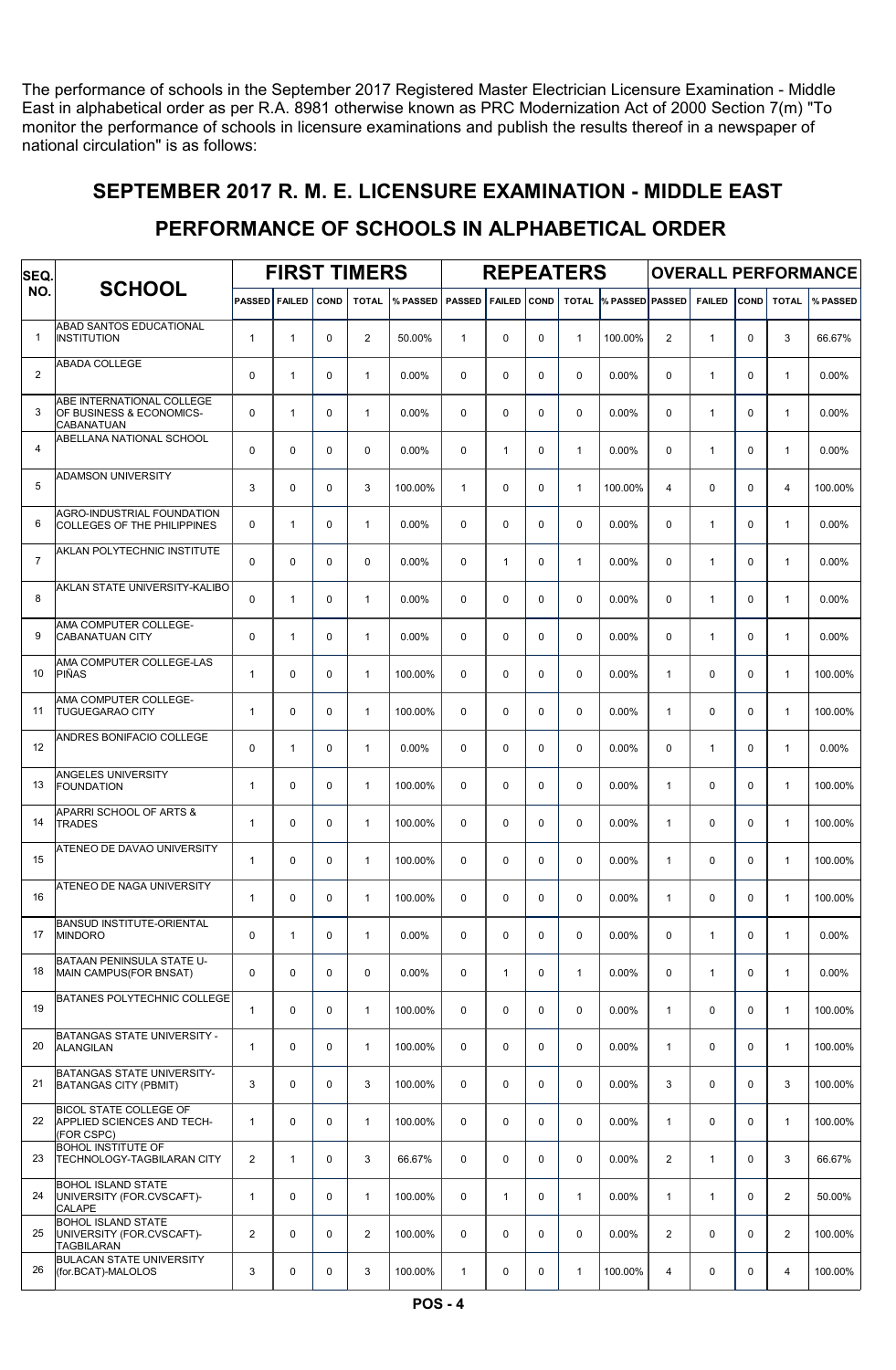The performance of schools in the September 2017 Registered Master Electrician Licensure Examination - Middle East in alphabetical order as per R.A. 8981 otherwise known as PRC Modernization Act of 2000 Section 7(m) "To monitor the performance of schools in licensure examinations and publish the results thereof in a newspaper of national circulation" is as follows:

#### SEPTEMBER 2017 R. M. E. LICENSURE EXAMINATION - MIDDLE EAST

#### PERFORMANCE OF SCHOOLS IN ALPHABETICAL ORDER

| SEQ.           |                                                                             |                |               |             | <b>FIRST TIMERS</b>     |          |               |               |             | <b>REPEATERS</b> |                        |                |               |             |                | <b>OVERALL PERFORMANCE</b> |
|----------------|-----------------------------------------------------------------------------|----------------|---------------|-------------|-------------------------|----------|---------------|---------------|-------------|------------------|------------------------|----------------|---------------|-------------|----------------|----------------------------|
| NO.            | <b>SCHOOL</b>                                                               | <b>PASSED</b>  | <b>FAILED</b> | <b>COND</b> | <b>TOTAL</b>            | % PASSED | <b>PASSED</b> | <b>FAILED</b> | <b>COND</b> | <b>TOTAL</b>     | <b>% PASSED PASSED</b> |                | <b>FAILED</b> | COND        | <b>TOTAL</b>   | % PASSED                   |
| $\mathbf{1}$   | ABAD SANTOS EDUCATIONAL<br>INSTITUTION                                      | $\mathbf{1}$   | $\mathbf{1}$  | $\Omega$    | $\mathbf{2}$            | 50.00%   | $\mathbf{1}$  | $\Omega$      | $\mathbf 0$ | $\mathbf{1}$     | 100.00%                | $\overline{c}$ | $\mathbf{1}$  | $\Omega$    | 3              | 66.67%                     |
| 2              | <b>ABADA COLLEGE</b>                                                        | $\mathbf 0$    | $\mathbf{1}$  | $\mathbf 0$ | $\mathbf{1}$            | 0.00%    | 0             | $\Omega$      | $\mathbf 0$ | $\mathbf 0$      | 0.00%                  | $\mathbf 0$    | $\mathbf{1}$  | $\Omega$    | $\mathbf{1}$   | 0.00%                      |
| 3              | ABE INTERNATIONAL COLLEGE<br>OF BUSINESS & ECONOMICS-<br><b>CABANATUAN</b>  | $\mathbf 0$    | $\mathbf{1}$  | $\Omega$    | $\mathbf{1}$            | 0.00%    | $\Omega$      | $\Omega$      | $\Omega$    | $\Omega$         | 0.00%                  | $\Omega$       | $\mathbf{1}$  | $\Omega$    | $\mathbf{1}$   | 0.00%                      |
| 4              | ABELLANA NATIONAL SCHOOL                                                    | $\Omega$       | $\Omega$      | $\Omega$    | $\mathbf 0$             | 0.00%    | 0             | $\mathbf{1}$  | $\mathbf 0$ | $\mathbf{1}$     | $0.00\%$               | $\Omega$       | $\mathbf{1}$  | $\Omega$    | $\mathbf{1}$   | 0.00%                      |
| 5              | ADAMSON UNIVERSITY                                                          | 3              | $\Omega$      | $\Omega$    | 3                       | 100.00%  | $\mathbf{1}$  | $\Omega$      | $\mathbf 0$ | $\mathbf{1}$     | 100.00%                | 4              | $\mathbf 0$   | $\Omega$    | 4              | 100.00%                    |
| 6              | <b>AGRO-INDUSTRIAL FOUNDATION</b><br><b>COLLEGES OF THE PHILIPPINES</b>     | $\mathbf 0$    | $\mathbf{1}$  | $\mathbf 0$ | $\mathbf{1}$            | 0.00%    | 0             | $\Omega$      | 0           | $\mathbf 0$      | 0.00%                  | $\mathbf 0$    | $\mathbf{1}$  | $\Omega$    | $\mathbf{1}$   | 0.00%                      |
| $\overline{7}$ | AKLAN POLYTECHNIC INSTITUTE                                                 | $\mathbf 0$    | $\Omega$      | $\Omega$    | $\Omega$                | 0.00%    | $\Omega$      | $\mathbf{1}$  | 0           | $\mathbf{1}$     | 0.00%                  | $\Omega$       | $\mathbf{1}$  | $\Omega$    | $\mathbf{1}$   | 0.00%                      |
| 8              | AKLAN STATE UNIVERSITY-KALIBO                                               | $\mathbf 0$    | $\mathbf{1}$  | $\Omega$    | $\mathbf{1}$            | 0.00%    | $\Omega$      | $\Omega$      | $\mathbf 0$ | $\Omega$         | $0.00\%$               | $\Omega$       | $\mathbf{1}$  | $\Omega$    | $\mathbf{1}$   | 0.00%                      |
| 9              | AMA COMPUTER COLLEGE-<br><b>CABANATUAN CITY</b>                             | $\Omega$       | $\mathbf{1}$  | $\Omega$    | $\mathbf{1}$            | 0.00%    | $\Omega$      | $\Omega$      | $\Omega$    | $\Omega$         | 0.00%                  | $\Omega$       | $\mathbf{1}$  | $\Omega$    | $\mathbf{1}$   | 0.00%                      |
| 10             | AMA COMPUTER COLLEGE-LAS<br>PIÑAS                                           | $\mathbf{1}$   | 0             | $\mathbf 0$ | $\mathbf{1}$            | 100.00%  | $\mathbf 0$   | $\Omega$      | $\mathbf 0$ | $\mathbf 0$      | $0.00\%$               | $\mathbf{1}$   | $\mathbf 0$   | $\Omega$    | $\mathbf{1}$   | 100.00%                    |
| 11             | AMA COMPUTER COLLEGE-<br><b>TUGUEGARAO CITY</b>                             | $\mathbf{1}$   | $\Omega$      | $\Omega$    | $\mathbf{1}$            | 100.00%  | $\Omega$      | $\Omega$      | $\Omega$    | $\Omega$         | 0.00%                  | $\mathbf{1}$   | $\mathbf 0$   | $\Omega$    | $\mathbf{1}$   | 100.00%                    |
| 12             | ANDRES BONIFACIO COLLEGE                                                    | $\mathbf 0$    | $\mathbf{1}$  | $\Omega$    | $\mathbf{1}$            | 0.00%    | $\Omega$      | $\Omega$      | $\mathbf 0$ | $\mathbf 0$      | 0.00%                  | $\Omega$       | $\mathbf{1}$  | $\Omega$    | $\mathbf{1}$   | 0.00%                      |
| 13             | ANGELES UNIVERSITY<br><b>FOUNDATION</b>                                     | $\mathbf{1}$   | 0             | $\Omega$    | 1                       | 100.00%  | $\Omega$      | $\Omega$      | $\Omega$    | $\mathbf 0$      | 0.00%                  | $\mathbf{1}$   | $\mathbf 0$   | $\Omega$    | $\mathbf{1}$   | 100.00%                    |
| 14             | APARRI SCHOOL OF ARTS &<br><b>TRADES</b>                                    | $\mathbf{1}$   | 0             | $\Omega$    | $\mathbf{1}$            | 100.00%  | $\Omega$      | $\Omega$      | $\mathbf 0$ | $\mathbf 0$      | 0.00%                  | $\mathbf{1}$   | $\mathbf 0$   | $\Omega$    | $\mathbf{1}$   | 100.00%                    |
| 15             | ATENEO DE DAVAO UNIVERSITY                                                  | $\mathbf{1}$   | $\Omega$      | $\Omega$    | $\mathbf{1}$            | 100.00%  | $\Omega$      | $\Omega$      | 0           | $\Omega$         | 0.00%                  | $\mathbf{1}$   | $\Omega$      | $\Omega$    | $\mathbf{1}$   | 100.00%                    |
| 16             | ATENEO DE NAGA UNIVERSITY                                                   | $\mathbf{1}$   | $\Omega$      | $\Omega$    | $\mathbf{1}$            | 100.00%  | $\Omega$      | $\Omega$      | $\Omega$    | $\Omega$         | 0.00%                  | $\mathbf{1}$   | $\Omega$      | $\Omega$    | $\mathbf{1}$   | 100.00%                    |
| 17             | BANSUD INSTITUTE-ORIENTAL<br><b>MINDORO</b>                                 | $\mathbf 0$    | $\mathbf{1}$  | $\mathbf 0$ | $\mathbf{1}$            | 0.00%    | 0             | $\Omega$      | $\mathbf 0$ | $\mathbf 0$      | 0.00%                  | 0              | $\mathbf{1}$  | $\mathbf 0$ | $\mathbf{1}$   | 0.00%                      |
| 18             | BATAAN PENINSULA STATE U-<br>MAIN CAMPUS(FOR BNSAT)                         | $\mathbf 0$    | $\mathbf 0$   | $\mathbf 0$ | $\pmb{0}$               | 0.00%    | $\mathbf 0$   | $\mathbf{1}$  | 0           | $\mathbf{1}$     | 0.00%                  | $\mathbf 0$    | $\mathbf{1}$  | $\mathbf 0$ | $\mathbf{1}$   | $0.00\%$                   |
| 19             | BATANES POLYTECHNIC COLLEGE                                                 | $\mathbf{1}$   | 0             | $\mathbf 0$ | $\mathbf{1}$            | 100.00%  | 0             | $\mathbf 0$   | 0           | $\mathbf 0$      | $0.00\%$               | $\mathbf{1}$   | $\mathbf 0$   | $\mathbf 0$ | $\mathbf{1}$   | 100.00%                    |
| 20             | <b>BATANGAS STATE UNIVERSITY -</b><br><b>ALANGILAN</b>                      | $\mathbf{1}$   | 0             | $\mathbf 0$ | $\mathbf{1}$            | 100.00%  | 0             | $\Omega$      | $\mathbf 0$ | $\mathbf 0$      | $0.00\%$               | $\mathbf{1}$   | $\mathbf 0$   | $\Omega$    | $\mathbf{1}$   | 100.00%                    |
| 21             | BATANGAS STATE UNIVERSITY-<br><b>BATANGAS CITY (PBMIT)</b>                  | 3              | 0             | $\mathbf 0$ | 3                       | 100.00%  | 0             | $\Omega$      | $\mathbf 0$ | $\Omega$         | 0.00%                  | 3              | $\mathbf 0$   | $\Omega$    | 3              | 100.00%                    |
| 22             | <b>BICOL STATE COLLEGE OF</b><br>APPLIED SCIENCES AND TECH-<br>(FOR CSPC)   | $\mathbf{1}$   | $\mathbf 0$   | $\mathbf 0$ | $\mathbf{1}$            | 100.00%  | $\mathbf 0$   | $\mathbf 0$   | $\mathbf 0$ | $\mathbf 0$      | $0.00\%$               | $\mathbf{1}$   | $\mathbf 0$   | $\mathbf 0$ | $\mathbf{1}$   | 100.00%                    |
| 23             | <b>BOHOL INSTITUTE OF</b><br><b>TECHNOLOGY-TAGBILARAN CITY</b>              | $\overline{c}$ | $\mathbf{1}$  | $\mathbf 0$ | 3                       | 66.67%   | 0             | $\mathbf 0$   | $\mathbf 0$ | $\mathbf 0$      | $0.00\%$               | $\overline{2}$ | $\mathbf{1}$  | $\mathbf 0$ | 3              | 66.67%                     |
| 24             | <b>BOHOL ISLAND STATE</b><br>UNIVERSITY (FOR.CVSCAFT)-<br><b>CALAPE</b>     | $\mathbf{1}$   | 0             | $\mathbf 0$ | $\mathbf{1}$            | 100.00%  | 0             | $\mathbf{1}$  | 0           | $\mathbf{1}$     | $0.00\%$               | $\mathbf{1}$   | $\mathbf{1}$  | $\mathbf 0$ | $\overline{2}$ | 50.00%                     |
| 25             | <b>BOHOL ISLAND STATE</b><br>UNIVERSITY (FOR.CVSCAFT)-<br><b>TAGBILARAN</b> | $\overline{c}$ | 0             | $\mathbf 0$ | $\overline{\mathbf{c}}$ | 100.00%  | $\mathbf 0$   | $\Omega$      | $\mathbf 0$ | $\mathbf 0$      | 0.00%                  | $\overline{a}$ | $\mathbf 0$   | $\mathbf 0$ | $\mathbf{2}$   | 100.00%                    |
| 26             | <b>BULACAN STATE UNIVERSITY</b><br>(for.BCAT)-MALOLOS                       | 3              | 0             | 0           | 3                       | 100.00%  | $\mathbf{1}$  | 0             | 0           | $\mathbf{1}$     | 100.00%                | 4              | $\mathbf 0$   | $\mathbf 0$ | 4              | 100.00%                    |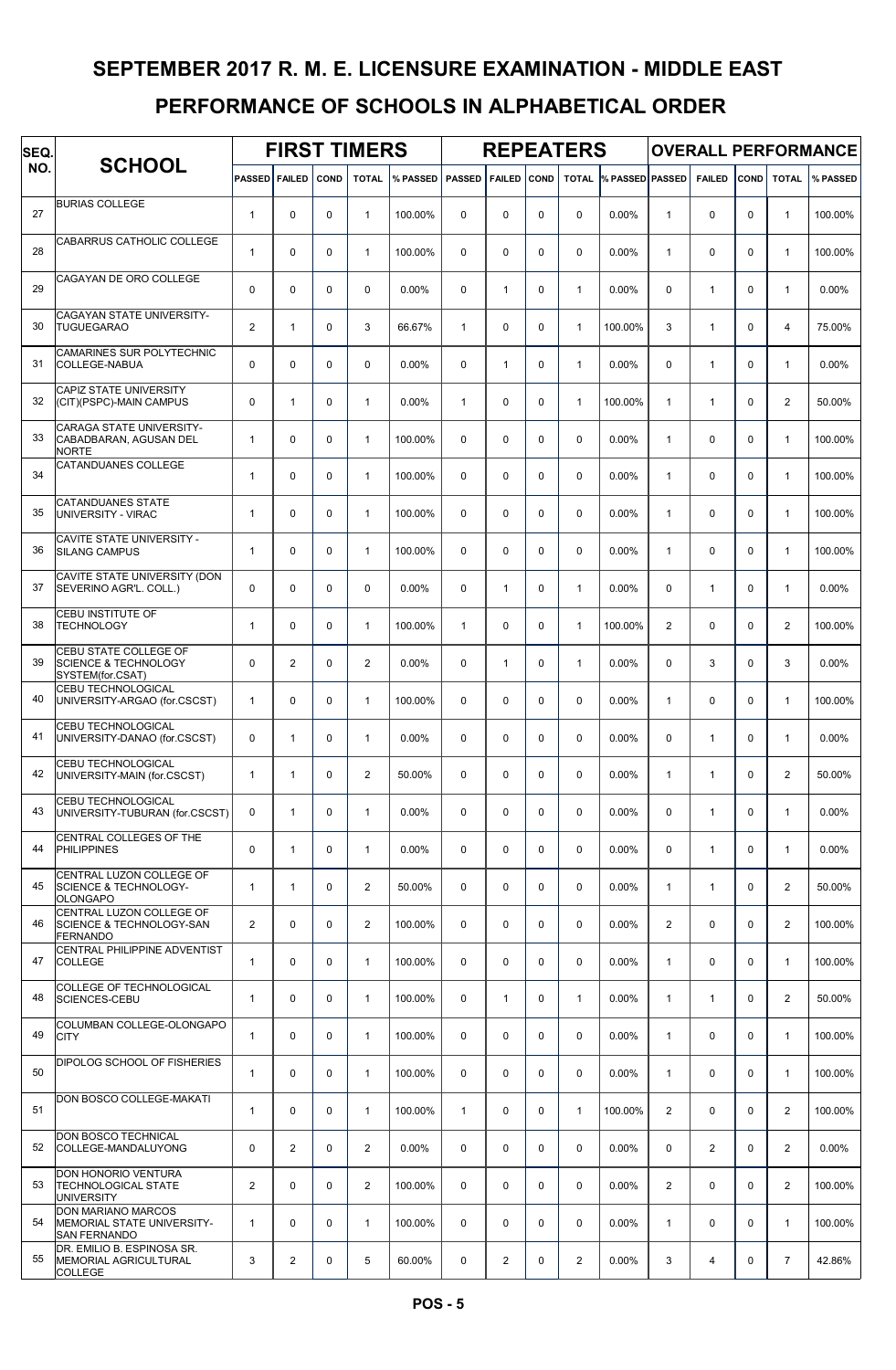| SEQ. |                                                                                    |                      |                |          | <b>FIRST TIMERS</b> |          |               |               |             | <b>REPEATERS</b> |                        |                |                |             |                         | <b>OVERALL PERFORMANCE</b> |
|------|------------------------------------------------------------------------------------|----------------------|----------------|----------|---------------------|----------|---------------|---------------|-------------|------------------|------------------------|----------------|----------------|-------------|-------------------------|----------------------------|
| NO.  | <b>SCHOOL</b>                                                                      | <b>PASSED FAILED</b> |                | COND     | <b>TOTAL</b>        | % PASSED | <b>PASSED</b> | <b>FAILED</b> | <b>COND</b> | <b>TOTAL</b>     | <b>% PASSED PASSED</b> |                | <b>FAILED</b>  | COND        | <b>TOTAL</b>            | % PASSED                   |
| 27   | <b>BURIAS COLLEGE</b>                                                              | $\mathbf{1}$         | 0              | 0        | $\mathbf{1}$        | 100.00%  | $\Omega$      | 0             | 0           | $\Omega$         | 0.00%                  | $\mathbf{1}$   | $\Omega$       | $\Omega$    | $\mathbf{1}$            | 100.00%                    |
| 28   | CABARRUS CATHOLIC COLLEGE                                                          | $\mathbf{1}$         | 0              | 0        | $\mathbf{1}$        | 100.00%  | $\Omega$      | $\mathbf 0$   | 0           | $\mathbf 0$      | $0.00\%$               | $\mathbf{1}$   | $\mathbf 0$    | $\Omega$    | $\mathbf{1}$            | 100.00%                    |
| 29   | CAGAYAN DE ORO COLLEGE                                                             | $\Omega$             | 0              | 0        | $\mathbf 0$         | 0.00%    | $\Omega$      | $\mathbf{1}$  | $\Omega$    | $\mathbf{1}$     | $0.00\%$               | $\Omega$       | $\mathbf{1}$   | $\Omega$    | $\mathbf{1}$            | 0.00%                      |
| 30   | CAGAYAN STATE UNIVERSITY-<br><b>TUGUEGARAO</b>                                     | 2                    | $\mathbf{1}$   | 0        | 3                   | 66.67%   | $\mathbf{1}$  | $\mathbf 0$   | $\mathbf 0$ | $\mathbf{1}$     | 100.00%                | 3              | $\mathbf{1}$   | $\Omega$    | 4                       | 75.00%                     |
| 31   | CAMARINES SUR POLYTECHNIC<br>COLLEGE-NABUA                                         | $\mathbf 0$          | 0              | 0        | $\Omega$            | 0.00%    | $\Omega$      | $\mathbf{1}$  | $\mathbf 0$ | $\mathbf{1}$     | 0.00%                  | $\mathbf 0$    | $\mathbf{1}$   | $\Omega$    | $\mathbf{1}$            | 0.00%                      |
| 32   | CAPIZ STATE UNIVERSITY<br>(CIT)(PSPC)-MAIN CAMPUS                                  | $\mathbf 0$          | $\mathbf{1}$   | 0        | $\mathbf{1}$        | 0.00%    | $\mathbf{1}$  | 0             | 0           | $\mathbf{1}$     | 100.00%                | $\mathbf{1}$   | $\mathbf{1}$   | $\Omega$    | $\overline{2}$          | 50.00%                     |
| 33   | <b>CARAGA STATE UNIVERSITY-</b><br>CABADBARAN, AGUSAN DEL<br><b>NORTE</b>          | $\mathbf{1}$         | 0              | 0        | $\mathbf{1}$        | 100.00%  | $\Omega$      | 0             | 0           | $\Omega$         | $0.00\%$               | $\mathbf{1}$   | $\mathbf 0$    | $\Omega$    | $\mathbf{1}$            | 100.00%                    |
| 34   | CATANDUANES COLLEGE                                                                | $\mathbf{1}$         | 0              | $\Omega$ | $\mathbf{1}$        | 100.00%  | $\Omega$      | 0             | 0           | $\Omega$         | $0.00\%$               | $\mathbf{1}$   | $\Omega$       | $\Omega$    | $\mathbf{1}$            | 100.00%                    |
| 35   | <b>CATANDUANES STATE</b><br>UNIVERSITY - VIRAC                                     | $\mathbf{1}$         | 0              | 0        | $\mathbf{1}$        | 100.00%  | $\Omega$      | 0             | 0           | $\Omega$         | $0.00\%$               | $\mathbf{1}$   | $\mathbf 0$    | $\Omega$    | $\mathbf{1}$            | 100.00%                    |
| 36   | CAVITE STATE UNIVERSITY -<br><b>SILANG CAMPUS</b>                                  | $\mathbf{1}$         | 0              | 0        | $\mathbf{1}$        | 100.00%  | $\Omega$      | $\mathbf 0$   | 0           | $\mathbf 0$      | $0.00\%$               | $\mathbf{1}$   | $\mathbf 0$    | $\Omega$    | $\mathbf{1}$            | 100.00%                    |
| 37   | CAVITE STATE UNIVERSITY (DON<br>SEVERINO AGR'L. COLL.)                             | $\Omega$             | 0              | 0        | $\mathbf 0$         | 0.00%    | $\Omega$      | $\mathbf{1}$  | 0           | $\mathbf{1}$     | 0.00%                  | $\mathbf 0$    | $\mathbf{1}$   | $\Omega$    | $\mathbf{1}$            | 0.00%                      |
| 38   | CEBU INSTITUTE OF<br><b>TECHNOLOGY</b>                                             | $\overline{1}$       | 0              | 0        | $\mathbf{1}$        | 100.00%  | $\mathbf{1}$  | 0             | 0           | $\mathbf{1}$     | 100.00%                | $\overline{2}$ | $\mathbf 0$    | $\Omega$    | 2                       | 100.00%                    |
| 39   | CEBU STATE COLLEGE OF<br><b>SCIENCE &amp; TECHNOLOGY</b><br>SYSTEM(for.CSAT)       | $\mathbf 0$          | $\mathbf{2}$   | 0        | $\overline{2}$      | 0.00%    | $\Omega$      | $\mathbf{1}$  | 0           | $\mathbf{1}$     | 0.00%                  | 0              | 3              | $\Omega$    | 3                       | 0.00%                      |
| 40   | CEBU TECHNOLOGICAL<br>UNIVERSITY-ARGAO (for.CSCST)                                 | $\mathbf{1}$         | 0              | 0        | $\mathbf{1}$        | 100.00%  | $\Omega$      | 0             | 0           | $\mathbf 0$      | $0.00\%$               | $\mathbf{1}$   | $\mathbf 0$    | $\Omega$    | $\mathbf{1}$            | 100.00%                    |
| 41   | <b>CEBU TECHNOLOGICAL</b><br>UNIVERSITY-DANAO (for.CSCST)                          | $\mathbf 0$          | $\mathbf{1}$   | 0        | $\mathbf{1}$        | 0.00%    | $\Omega$      | $\Omega$      | $\Omega$    | $\Omega$         | $0.00\%$               | $\Omega$       | $\mathbf{1}$   | $\Omega$    | $\mathbf{1}$            | 0.00%                      |
| 42   | CEBU TECHNOLOGICAL<br>UNIVERSITY-MAIN (for.CSCST)                                  | $\mathbf{1}$         | 1              | 0        | $\overline{2}$      | 50.00%   | $\Omega$      | 0             | $\Omega$    | $\Omega$         | 0.00%                  | $\mathbf{1}$   | $\mathbf{1}$   | $\Omega$    | $\overline{2}$          | 50.00%                     |
| 43   | CEBU TECHNOLOGICAL<br>UNIVERSITY-TUBURAN (for.CSCST)                               | $\mathbf 0$          | $\mathbf{1}$   | 0        | $\mathbf{1}$        | 0.00%    | $\mathbf 0$   | 0             | 0           | $\mathbf 0$      | 0.00%                  | $\mathbf 0$    | $\mathbf{1}$   | $\Omega$    | $\mathbf{1}$            | 0.00%                      |
| 44   | CENTRAL COLLEGES OF THE<br><b>PHILIPPINES</b>                                      | $\mathsf 0$          | 1              | 0        | $\mathbf{1}$        | 0.00%    | $\mathbf 0$   | 0             | 0           | $\mathbf 0$      | 0.00%                  | $\mathbf 0$    | $\mathbf{1}$   | $\mathbf 0$ | $\mathbf{1}$            | 0.00%                      |
| 45   | CENTRAL LUZON COLLEGE OF<br><b>SCIENCE &amp; TECHNOLOGY-</b><br><b>OLONGAPO</b>    | $\mathbf{1}$         | 1              | 0        | $\overline{2}$      | 50.00%   | $\Omega$      | 0             | 0           | $\mathbf 0$      | 0.00%                  | $\mathbf{1}$   | $\mathbf{1}$   | $\Omega$    | 2                       | 50.00%                     |
| 46   | CENTRAL LUZON COLLEGE OF<br><b>SCIENCE &amp; TECHNOLOGY-SAN</b><br><b>FERNANDO</b> | $\mathbf{2}$         | 0              | 0        | $\overline{2}$      | 100.00%  | $\Omega$      | $\mathbf 0$   | 0           | $\mathbf 0$      | 0.00%                  | $\overline{2}$ | $\mathbf 0$    | $\Omega$    | 2                       | 100.00%                    |
| 47   | CENTRAL PHILIPPINE ADVENTIST<br><b>COLLEGE</b>                                     | $\mathbf{1}$         | 0              | 0        | $\mathbf{1}$        | 100.00%  | $\Omega$      | 0             | 0           | $\mathbf 0$      | 0.00%                  | $\mathbf{1}$   | $\mathbf 0$    | $\Omega$    | $\mathbf{1}$            | 100.00%                    |
| 48   | COLLEGE OF TECHNOLOGICAL<br>SCIENCES-CEBU                                          | $\mathbf{1}$         | 0              | 0        | $\mathbf{1}$        | 100.00%  | $\mathbf 0$   | $\mathbf{1}$  | 0           | $\mathbf{1}$     | 0.00%                  | $\mathbf{1}$   | $\mathbf{1}$   | $\mathbf 0$ | 2                       | 50.00%                     |
| 49   | COLUMBAN COLLEGE-OLONGAPO<br><b>CITY</b>                                           | $\mathbf{1}$         | 0              | 0        | $\mathbf{1}$        | 100.00%  | $\Omega$      | $\mathbf 0$   | 0           | $\mathbf 0$      | 0.00%                  | $\mathbf{1}$   | $\mathbf 0$    | $\Omega$    | $\mathbf{1}$            | 100.00%                    |
| 50   | DIPOLOG SCHOOL OF FISHERIES                                                        | $\overline{1}$       | 0              | 0        | $\mathbf{1}$        | 100.00%  | $\Omega$      | $\mathbf 0$   | 0           | $\mathbf 0$      | 0.00%                  | $\mathbf{1}$   | $\mathbf 0$    | $\Omega$    | $\mathbf{1}$            | 100.00%                    |
| 51   | DON BOSCO COLLEGE-MAKATI                                                           | $\mathbf{1}$         | 0              | 0        | $\mathbf{1}$        | 100.00%  | $\mathbf{1}$  | 0             | 0           | 1                | 100.00%                | $\overline{2}$ | $\mathbf 0$    | $\Omega$    | $\overline{\mathbf{c}}$ | 100.00%                    |
| 52   | DON BOSCO TECHNICAL<br>COLLEGE-MANDALUYONG                                         | $\mathbf 0$          | $\overline{2}$ | 0        | $\overline{2}$      | $0.00\%$ | $\mathbf 0$   | 0             | 0           | $\mathbf 0$      | 0.00%                  | 0              | $\overline{2}$ | $\mathbf 0$ | 2                       | 0.00%                      |
| 53   | DON HONORIO VENTURA<br><b>TECHNOLOGICAL STATE</b><br><b>UNIVERSITY</b>             | $\mathbf{2}$         | 0              | 0        | $\overline{2}$      | 100.00%  | $\Omega$      | $\mathbf 0$   | 0           | $\mathbf 0$      | 0.00%                  | $\overline{2}$ | $\mathbf 0$    | $\Omega$    | $\overline{2}$          | 100.00%                    |
| 54   | <b>DON MARIANO MARCOS</b><br>MEMORIAL STATE UNIVERSITY-<br><b>SAN FERNANDO</b>     | $\mathbf{1}$         | 0              | 0        | $\mathbf{1}$        | 100.00%  | $\Omega$      | $\mathbf 0$   | 0           | $\mathbf 0$      | 0.00%                  | $\mathbf{1}$   | $\mathbf 0$    | $\Omega$    | $\mathbf{1}$            | 100.00%                    |
| 55   | DR. EMILIO B. ESPINOSA SR.<br>MEMORIAL AGRICULTURAL<br><b>COLLEGE</b>              | 3                    | $\overline{c}$ | 0        | 5                   | 60.00%   | $\mathbf 0$   | 2             | 0           | $\overline{2}$   | 0.00%                  | 3              | 4              | $\mathbf 0$ | $\overline{7}$          | 42.86%                     |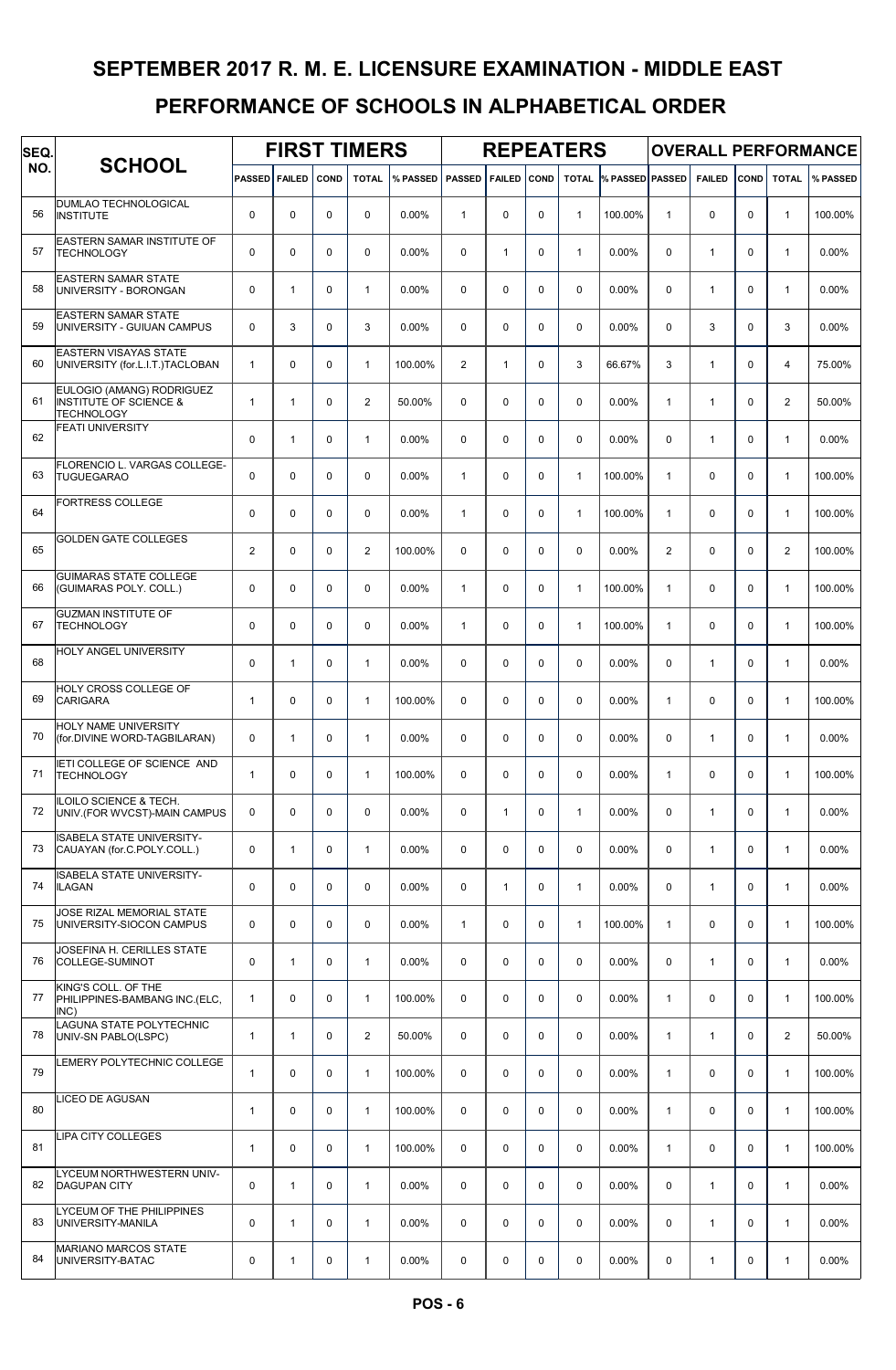| SEQ. |                                                                                     |                      |              |             | <b>FIRST TIMERS</b> |          |                |               |             | <b>REPEATERS</b> |                 |                |               |             |                | <b>OVERALL PERFORMANCE</b> |
|------|-------------------------------------------------------------------------------------|----------------------|--------------|-------------|---------------------|----------|----------------|---------------|-------------|------------------|-----------------|----------------|---------------|-------------|----------------|----------------------------|
| NO.  | <b>SCHOOL</b>                                                                       | <b>PASSED FAILED</b> |              | COND        | <b>TOTAL</b>        | % PASSED | <b>PASSED</b>  | <b>FAILED</b> | <b>COND</b> | <b>TOTAL</b>     | % PASSED PASSED |                | <b>FAILED</b> | COND        | <b>TOTAL</b>   | % PASSED                   |
| 56   | DUMLAO TECHNOLOGICAL<br><b>INSTITUTE</b>                                            | $\mathbf 0$          | 0            | $\mathbf 0$ | $\mathbf 0$         | 0.00%    | $\mathbf{1}$   | 0             | 0           | $\mathbf{1}$     | 100.00%         | $\mathbf{1}$   | 0             | $\mathbf 0$ | $\mathbf{1}$   | 100.00%                    |
| 57   | EASTERN SAMAR INSTITUTE OF<br><b>TECHNOLOGY</b>                                     | $\mathbf 0$          | 0            | $\mathbf 0$ | $\mathbf 0$         | 0.00%    | $\mathbf 0$    | $\mathbf{1}$  | 0           | $\mathbf{1}$     | 0.00%           | $\mathbf 0$    | $\mathbf{1}$  | $\mathbf 0$ | $\mathbf{1}$   | 0.00%                      |
| 58   | <b>EASTERN SAMAR STATE</b><br>UNIVERSITY - BORONGAN                                 | $\mathbf 0$          | $\mathbf{1}$ | $\mathbf 0$ | $\mathbf{1}$        | 0.00%    | $\mathbf 0$    | 0             | 0           | 0                | 0.00%           | $\mathbf 0$    | $\mathbf{1}$  | $\Omega$    | $\mathbf{1}$   | 0.00%                      |
| 59   | <b>EASTERN SAMAR STATE</b><br>UNIVERSITY - GUIUAN CAMPUS                            | $\mathbf 0$          | 3            | $\mathbf 0$ | 3                   | 0.00%    | $\mathbf 0$    | 0             | 0           | 0                | 0.00%           | 0              | 3             | $\mathbf 0$ | 3              | 0.00%                      |
| 60   | <b>EASTERN VISAYAS STATE</b><br>UNIVERSITY (for.L.I.T.)TACLOBAN                     | $\mathbf{1}$         | $\mathbf 0$  | $\mathbf 0$ | $\overline{1}$      | 100.00%  | $\overline{2}$ | $\mathbf{1}$  | 0           | 3                | 66.67%          | 3              | $\mathbf{1}$  | $\mathbf 0$ | $\overline{4}$ | 75.00%                     |
| 61   | EULOGIO (AMANG) RODRIGUEZ<br><b>INSTITUTE OF SCIENCE &amp;</b><br><b>TECHNOLOGY</b> | $\mathbf{1}$         | $\mathbf{1}$ | $\mathbf 0$ | $\mathbf{2}$        | 50.00%   | $\mathbf 0$    | 0             | 0           | 0                | 0.00%           | $\mathbf{1}$   | $\mathbf{1}$  | $\Omega$    | $\overline{2}$ | 50.00%                     |
| 62   | <b>FEATI UNIVERSITY</b>                                                             | $\mathbf 0$          | $\mathbf{1}$ | $\mathbf 0$ | $\mathbf{1}$        | 0.00%    | $\Omega$       | 0             | 0           | 0                | 0.00%           | $\mathbf 0$    | $\mathbf{1}$  | $\Omega$    | $\mathbf{1}$   | 0.00%                      |
| 63   | FLORENCIO L. VARGAS COLLEGE-<br><b>TUGUEGARAO</b>                                   | $\mathbf 0$          | 0            | $\mathbf 0$ | $\mathbf 0$         | 0.00%    | $\mathbf{1}$   | 0             | 0           | $\mathbf{1}$     | 100.00%         | $\mathbf{1}$   | 0             | $\Omega$    | $\mathbf{1}$   | 100.00%                    |
| 64   | <b>FORTRESS COLLEGE</b>                                                             | $\mathbf 0$          | 0            | $\mathbf 0$ | $\mathbf 0$         | 0.00%    | $\mathbf{1}$   | 0             | 0           | $\mathbf{1}$     | 100.00%         | $\mathbf{1}$   | 0             | $\Omega$    | $\mathbf{1}$   | 100.00%                    |
| 65   | <b>GOLDEN GATE COLLEGES</b>                                                         | $\overline{2}$       | $\mathbf 0$  | $\mathbf 0$ | $\overline{2}$      | 100.00%  | $\mathbf 0$    | 0             | 0           | $\mathbf 0$      | 0.00%           | $\overline{2}$ | 0             | $\mathbf 0$ | 2              | 100.00%                    |
| 66   | <b>GUIMARAS STATE COLLEGE</b><br>(GUIMARAS POLY. COLL.)                             | $\mathbf 0$          | $\mathbf 0$  | $\mathbf 0$ | $\mathbf 0$         | 0.00%    | $\mathbf{1}$   | 0             | 0           | $\mathbf{1}$     | 100.00%         | $\mathbf{1}$   | 0             | $\mathbf 0$ | $\mathbf{1}$   | 100.00%                    |
| 67   | <b>GUZMAN INSTITUTE OF</b><br><b>TECHNOLOGY</b>                                     | $\mathbf 0$          | $\mathbf 0$  | $\mathbf 0$ | $\mathbf 0$         | 0.00%    | $\mathbf{1}$   | 0             | 0           | $\mathbf{1}$     | 100.00%         | $\mathbf{1}$   | 0             | $\mathbf 0$ | $\mathbf{1}$   | 100.00%                    |
| 68   | HOLY ANGEL UNIVERSITY                                                               | $\mathbf 0$          | $\mathbf{1}$ | $\mathbf 0$ | $\mathbf{1}$        | 0.00%    | $\mathbf 0$    | 0             | 0           | 0                | 0.00%           | $\mathbf 0$    | $\mathbf{1}$  | $\Omega$    | $\mathbf{1}$   | 0.00%                      |
| 69   | HOLY CROSS COLLEGE OF<br><b>CARIGARA</b>                                            | $\mathbf{1}$         | $\mathbf 0$  | $\mathbf 0$ | $\mathbf{1}$        | 100.00%  | $\Omega$       | 0             | 0           | $\mathbf 0$      | 0.00%           | $\mathbf{1}$   | 0             | $\Omega$    | $\mathbf{1}$   | 100.00%                    |
| 70   | HOLY NAME UNIVERSITY<br>(for.DIVINE WORD-TAGBILARAN)                                | $\mathbf 0$          | $\mathbf{1}$ | $\mathbf 0$ | $\mathbf{1}$        | 0.00%    | $\Omega$       | 0             | 0           | 0                | 0.00%           | $\mathbf 0$    | $\mathbf{1}$  | $\Omega$    | $\mathbf{1}$   | 0.00%                      |
| 71   | IETI COLLEGE OF SCIENCE AND<br><b>TECHNOLOGY</b>                                    | $\mathbf{1}$         | 0            | $\mathbf 0$ | $\mathbf{1}$        | 100.00%  | $\Omega$       | 0             | 0           | 0                | 0.00%           | $\mathbf{1}$   | 0             | $\Omega$    | $\mathbf{1}$   | 100.00%                    |
| 72   | ILOILO SCIENCE & TECH.<br>UNIV. (FOR WVCST)-MAIN CAMPUS                             | $\mathbf 0$          | 0            | 0           | $\mathbf 0$         | 0.00%    | $\mathbf 0$    | $\mathbf{1}$  | 0           | $\mathbf{1}$     | 0.00%           | 0              | $\mathbf{1}$  | $\mathbf 0$ | $\mathbf{1}$   | 0.00%                      |
| 73   | ISABELA STATE UNIVERSITY-<br>CAUAYAN (for.C.POLY.COLL.)                             | $\mathsf 0$          | $\mathbf{1}$ | 0           | $\mathbf{1}$        | 0.00%    | $\mathbf 0$    | 0             | 0           | $\mathbf 0$      | 0.00%           | $\pmb{0}$      | $\mathbf{1}$  | $\mathbf 0$ | $\mathbf{1}$   | 0.00%                      |
| 74   | ISABELA STATE UNIVERSITY-<br><b>ILAGAN</b>                                          | $\pmb{0}$            | 0            | $\mathbf 0$ | $\mathbf 0$         | 0.00%    | $\mathbf 0$    | $\mathbf{1}$  | 0           | $\mathbf{1}$     | 0.00%           | $\mathbf 0$    | $\mathbf{1}$  | $\mathbf 0$ | $\mathbf{1}$   | 0.00%                      |
| 75   | JOSE RIZAL MEMORIAL STATE<br>UNIVERSITY-SIOCON CAMPUS                               | $\mathbf 0$          | 0            | $\mathbf 0$ | $\mathbf 0$         | 0.00%    | $\mathbf{1}$   | 0             | 0           | $\mathbf{1}$     | 100.00%         | $\mathbf{1}$   | 0             | $\Omega$    | $\mathbf{1}$   | 100.00%                    |
| 76   | JOSEFINA H. CERILLES STATE<br>COLLEGE-SUMINOT                                       | $\pmb{0}$            | $\mathbf{1}$ | 0           | $\mathbf{1}$        | 0.00%    | $\mathbf 0$    | 0             | 0           | $\mathbf 0$      | 0.00%           | $\mathbf 0$    | $\mathbf{1}$  | $\mathbf 0$ | $\mathbf{1}$   | 0.00%                      |
| 77   | KING'S COLL. OF THE<br>PHILIPPINES-BAMBANG INC.(ELC,<br>INC)                        | $\mathbf{1}$         | 0            | 0           | $\mathbf{1}$        | 100.00%  | $\mathbf 0$    | 0             | 0           | $\mathbf 0$      | 0.00%           | $\mathbf{1}$   | 0             | $\mathbf 0$ | $\mathbf{1}$   | 100.00%                    |
| 78   | LAGUNA STATE POLYTECHNIC<br>UNIV-SN PABLO(LSPC)                                     | $\mathbf{1}$         | $\mathbf{1}$ | 0           | $\overline{2}$      | 50.00%   | $\mathbf 0$    | 0             | 0           | $\mathbf 0$      | 0.00%           | $\mathbf{1}$   | $\mathbf{1}$  | $\mathbf 0$ | $\overline{2}$ | 50.00%                     |
| 79   | LEMERY POLYTECHNIC COLLEGE                                                          | $\mathbf{1}$         | 0            | 0           | $\mathbf{1}$        | 100.00%  | $\mathbf 0$    | 0             | 0           | $\mathbf 0$      | 0.00%           | $\mathbf{1}$   | 0             | $\mathbf 0$ | $\mathbf{1}$   | 100.00%                    |
| 80   | LICEO DE AGUSAN                                                                     | $\mathbf{1}$         | 0            | 0           | $\mathbf{1}$        | 100.00%  | $\mathbf 0$    | 0             | 0           | $\mathbf 0$      | 0.00%           | $\mathbf{1}$   | 0             | $\mathbf 0$ | $\mathbf{1}$   | 100.00%                    |
| 81   | LIPA CITY COLLEGES                                                                  | $\mathbf{1}$         | 0            | 0           | $\mathbf{1}$        | 100.00%  | $\mathbf 0$    | 0             | 0           | $\mathbf 0$      | 0.00%           | $\mathbf{1}$   | 0             | $\mathbf 0$ | $\mathbf{1}$   | 100.00%                    |
| 82   | LYCEUM NORTHWESTERN UNIV-<br><b>DAGUPAN CITY</b>                                    | $\pmb{0}$            | $\mathbf{1}$ | $\mathbf 0$ | $\mathbf{1}$        | 0.00%    | $\mathbf 0$    | 0             | 0           | $\mathbf 0$      | 0.00%           | $\mathbf 0$    | $\mathbf{1}$  | $\Omega$    | $\mathbf{1}$   | 0.00%                      |
| 83   | LYCEUM OF THE PHILIPPINES<br>UNIVERSITY-MANILA                                      | $\pmb{0}$            | $\mathbf{1}$ | $\mathbf 0$ | $\mathbf{1}$        | 0.00%    | $\mathbf 0$    | 0             | 0           | 0                | 0.00%           | $\mathbf 0$    | $\mathbf{1}$  | $\mathbf 0$ | $\mathbf{1}$   | 0.00%                      |
| 84   | <b>MARIANO MARCOS STATE</b><br>UNIVERSITY-BATAC                                     | $\pmb{0}$            | 1            | 0           | $\mathbf{1}$        | 0.00%    | 0              | 0             | 0           | 0                | 0.00%           | 0              | 1             | 0           | $\mathbf{1}$   | $0.00\%$                   |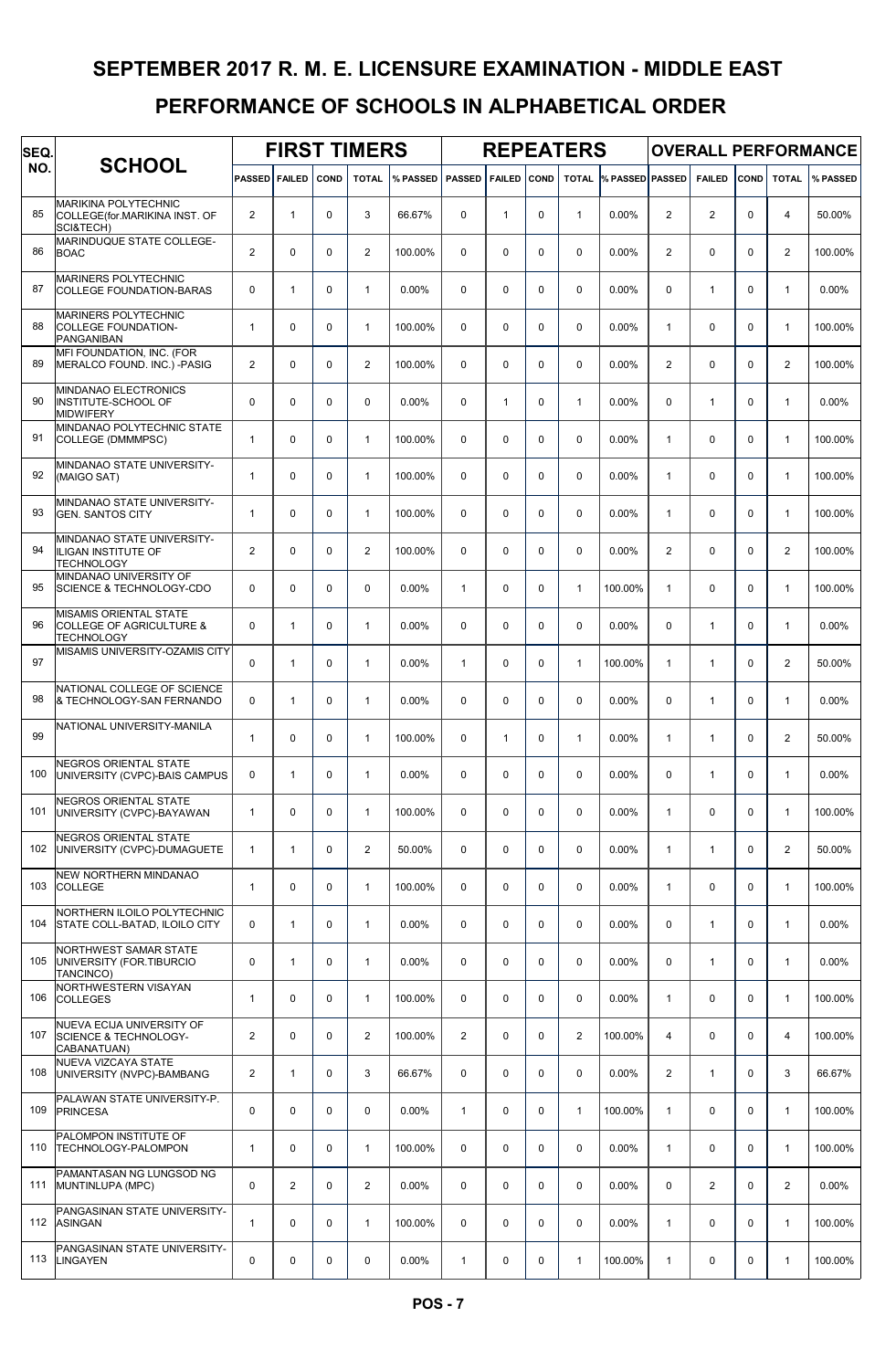| SEQ. |                                                                                    |                |                |             | <b>FIRST TIMERS</b> |          |                |               |             | <b>REPEATERS</b> |                        |                |               |             |                | <b>OVERALL PERFORMANCE</b> |
|------|------------------------------------------------------------------------------------|----------------|----------------|-------------|---------------------|----------|----------------|---------------|-------------|------------------|------------------------|----------------|---------------|-------------|----------------|----------------------------|
| NO.  | <b>SCHOOL</b>                                                                      | <b>PASSED</b>  | <b>FAILED</b>  | COND        | <b>TOTAL</b>        | % PASSED | <b>PASSED</b>  | <b>FAILED</b> | COND        | <b>TOTAL</b>     | <b>% PASSED PASSED</b> |                | <b>FAILED</b> | COND        | <b>TOTAL</b>   | % PASSED                   |
| 85   | <b>MARIKINA POLYTECHNIC</b><br>COLLEGE(for.MARIKINA INST. OF<br>SCI&TECH)          | $\overline{2}$ | $\mathbf{1}$   | $\mathbf 0$ | 3                   | 66.67%   | $\Omega$       | $\mathbf{1}$  | $\Omega$    | $\mathbf{1}$     | 0.00%                  | $\overline{2}$ | 2             | $\Omega$    | $\overline{4}$ | 50.00%                     |
| 86   | MARINDUQUE STATE COLLEGE-<br><b>BOAC</b>                                           | $\overline{2}$ | $\mathbf 0$    | $\mathbf 0$ | $\overline{2}$      | 100.00%  | $\Omega$       | 0             | $\mathbf 0$ | $\mathbf 0$      | 0.00%                  | $\overline{2}$ | $\mathbf 0$   | $\mathbf 0$ | $\mathbf{2}$   | 100.00%                    |
| 87   | <b>MARINERS POLYTECHNIC</b><br>COLLEGE FOUNDATION-BARAS                            | $\mathbf 0$    | $\mathbf{1}$   | $\mathbf 0$ | $\mathbf{1}$        | $0.00\%$ | $\Omega$       | $\Omega$      | $\Omega$    | $\Omega$         | $0.00\%$               | $\Omega$       | $\mathbf{1}$  | $\Omega$    | 1              | 0.00%                      |
| 88   | MARINERS POLYTECHNIC<br><b>COLLEGE FOUNDATION-</b><br>PANGANIBAN                   | $\mathbf{1}$   | 0              | $\mathbf 0$ | $\overline{1}$      | 100.00%  | $\Omega$       | 0             | $\Omega$    | $\Omega$         | 0.00%                  | $\mathbf{1}$   | $\mathbf 0$   | $\Omega$    | $\mathbf{1}$   | 100.00%                    |
| 89   | MFI FOUNDATION, INC. (FOR<br>MERALCO FOUND. INC.) -PASIG                           | $\overline{c}$ | 0              | 0           | $\overline{2}$      | 100.00%  | $\Omega$       | $\Omega$      | $\Omega$    | $\Omega$         | 0.00%                  | $\overline{c}$ | $\mathbf 0$   | $\Omega$    | $\mathbf{2}$   | 100.00%                    |
| 90   | MINDANAO ELECTRONICS<br><b>INSTITUTE-SCHOOL OF</b><br><b>MIDWIFERY</b>             | $\mathbf 0$    | $\mathbf 0$    | $\mathbf 0$ | $\Omega$            | 0.00%    | $\Omega$       | $\mathbf{1}$  | $\mathbf 0$ | $\mathbf{1}$     | 0.00%                  | 0              | $\mathbf{1}$  | $\Omega$    | 1              | 0.00%                      |
| 91   | MINDANAO POLYTECHNIC STATE<br>COLLEGE (DMMMPSC)                                    | $\mathbf{1}$   | 0              | $\Omega$    | $\mathbf{1}$        | 100.00%  | $\Omega$       | $\Omega$      | $\Omega$    | $\Omega$         | $0.00\%$               | $\mathbf{1}$   | $\Omega$      | $\Omega$    | 1              | 100.00%                    |
| 92   | MINDANAO STATE UNIVERSITY-<br>(MAIGO SAT)                                          | $\mathbf{1}$   | 0              | $\Omega$    | $\mathbf{1}$        | 100.00%  | $\Omega$       | $\Omega$      | $\Omega$    | $\Omega$         | $0.00\%$               | $\mathbf{1}$   | $\Omega$      | 0           | 1              | 100.00%                    |
| 93   | MINDANAO STATE UNIVERSITY-<br><b>GEN. SANTOS CITY</b>                              | $\mathbf{1}$   | 0              | 0           | $\mathbf{1}$        | 100.00%  | $\Omega$       | $\Omega$      | $\Omega$    | $\Omega$         | 0.00%                  | $\mathbf{1}$   | $\Omega$      | $\Omega$    | 1              | 100.00%                    |
| 94   | MINDANAO STATE UNIVERSITY-<br>ILIGAN INSTITUTE OF<br><b>TECHNOLOGY</b>             | $\overline{2}$ | $\mathbf 0$    | $\mathbf 0$ | $\overline{2}$      | 100.00%  | $\Omega$       | 0             | $\mathbf 0$ | $\mathbf 0$      | 0.00%                  | $\overline{2}$ | $\mathbf 0$   | $\Omega$    | $\mathbf{2}$   | 100.00%                    |
| 95   | MINDANAO UNIVERSITY OF<br><b>SCIENCE &amp; TECHNOLOGY-CDO</b>                      | $\mathbf 0$    | 0              | $\mathbf 0$ | $\mathbf 0$         | $0.00\%$ | $\mathbf{1}$   | $\Omega$      | $\mathbf 0$ | $\mathbf{1}$     | 100.00%                | $\mathbf{1}$   | $\mathbf 0$   | $\Omega$    | $\mathbf{1}$   | 100.00%                    |
| 96   | MISAMIS ORIENTAL STATE<br><b>COLLEGE OF AGRICULTURE &amp;</b><br><b>TECHNOLOGY</b> | $\Omega$       | $\mathbf{1}$   | $\mathbf 0$ | $\mathbf{1}$        | 0.00%    | $\Omega$       | 0             | $\Omega$    | $\Omega$         | $0.00\%$               | $\Omega$       | $\mathbf{1}$  | $\Omega$    | 1              | 0.00%                      |
| 97   | MISAMIS UNIVERSITY-OZAMIS CITY                                                     | $\mathbf 0$    | $\mathbf{1}$   | 0           | $\mathbf{1}$        | 0.00%    | $\mathbf{1}$   | $\Omega$      | $\Omega$    | $\mathbf{1}$     | 100.00%                | $\mathbf{1}$   | $\mathbf{1}$  | $\Omega$    | $\mathbf{2}$   | 50.00%                     |
| 98   | NATIONAL COLLEGE OF SCIENCE<br>& TECHNOLOGY-SAN FERNANDO                           | $\Omega$       | $\mathbf{1}$   | $\mathbf 0$ | $\mathbf{1}$        | 0.00%    | $\Omega$       | $\Omega$      | $\Omega$    | $\Omega$         | 0.00%                  | $\Omega$       | $\mathbf{1}$  | $\Omega$    | 1              | 0.00%                      |
| 99   | NATIONAL UNIVERSITY-MANILA                                                         | $\mathbf{1}$   | 0              | $\Omega$    | $\mathbf{1}$        | 100.00%  | $\Omega$       | $\mathbf{1}$  | $\Omega$    | $\mathbf{1}$     | $0.00\%$               | $\mathbf{1}$   | $\mathbf{1}$  | $\Omega$    | $\mathbf{2}$   | 50.00%                     |
| 100  | <b>NEGROS ORIENTAL STATE</b><br>UNIVERSITY (CVPC)-BAIS CAMPUS                      | $\mathbf 0$    | $\mathbf{1}$   | $\mathbf 0$ | $\mathbf{1}$        | $0.00\%$ | $\Omega$       | $\Omega$      | $\Omega$    | $\Omega$         | 0.00%                  | $\Omega$       | $\mathbf{1}$  | $\Omega$    | 1              | 0.00%                      |
| 101  | NEGROS ORIENTAL STATE<br>UNIVERSITY (CVPC)-BAYAWAN                                 | $\mathbf{1}$   | 0              | $\mathbf 0$ | $\mathbf{1}$        | 100.00%  | 0              | 0             | $\mathbf 0$ | $\mathbf 0$      | 0.00%                  | $\mathbf{1}$   | $\mathbf 0$   | $\mathbf 0$ | 1              | 100.00%                    |
| 102  | NEGROS ORIENTAL STATE<br>UNIVERSITY (CVPC)-DUMAGUETE                               | $\mathbf{1}$   | $\mathbf{1}$   | 0           | $\overline{2}$      | 50.00%   | 0              | 0             | $\mathbf 0$ | $\mathbf 0$      | 0.00%                  | $\mathbf{1}$   | $\mathbf{1}$  | 0           | $\overline{2}$ | 50.00%                     |
| 103  | NEW NORTHERN MINDANAO<br><b>COLLEGE</b>                                            | $\mathbf{1}$   | 0              | $\mathbf 0$ | $\mathbf{1}$        | 100.00%  | 0              | 0             | $\mathbf 0$ | $\mathbf 0$      | 0.00%                  | $\mathbf{1}$   | $\mathbf 0$   | 0           | 1              | 100.00%                    |
| 104  | NORTHERN ILOILO POLYTECHNIC<br>STATE COLL-BATAD, ILOILO CITY                       | $\mathbf 0$    | $\mathbf{1}$   | $\mathbf 0$ | $\mathbf{1}$        | 0.00%    | 0              | 0             | $\mathbf 0$ | $\mathbf 0$      | 0.00%                  | 0              | $\mathbf{1}$  | $\Omega$    | 1              | 0.00%                      |
| 105  | NORTHWEST SAMAR STATE<br>UNIVERSITY (FOR.TIBURCIO<br>TANCINCO)                     | $\mathbf 0$    | $\mathbf{1}$   | $\mathbf 0$ | $\mathbf{1}$        | 0.00%    | 0              | 0             | $\mathbf 0$ | $\mathbf 0$      | 0.00%                  | 0              | $\mathbf{1}$  | $\Omega$    | 1              | 0.00%                      |
| 106  | NORTHWESTERN VISAYAN<br><b>COLLEGES</b>                                            | $\mathbf{1}$   | 0              | $\mathbf 0$ | $\mathbf{1}$        | 100.00%  | $\mathbf 0$    | 0             | $\mathbf 0$ | $\mathbf 0$      | 0.00%                  | $\mathbf{1}$   | $\mathbf 0$   | 0           | 1              | 100.00%                    |
| 107  | NUEVA ECIJA UNIVERSITY OF<br><b>SCIENCE &amp; TECHNOLOGY-</b><br>CABANATUAN)       | $\overline{2}$ | 0              | $\mathbf 0$ | $\overline{2}$      | 100.00%  | $\overline{2}$ | 0             | $\mathbf 0$ | $\overline{2}$   | 100.00%                | 4              | $\mathbf 0$   | 0           | 4              | 100.00%                    |
| 108  | NUEVA VIZCAYA STATE<br>UNIVERSITY (NVPC)-BAMBANG                                   | $\overline{2}$ | $\mathbf{1}$   | 0           | 3                   | 66.67%   | $\mathbf 0$    | 0             | $\mathbf 0$ | $\mathbf 0$      | 0.00%                  | $\overline{2}$ | $\mathbf{1}$  | $\mathbf 0$ | 3              | 66.67%                     |
| 109  | PALAWAN STATE UNIVERSITY-P.<br><b>PRINCESA</b>                                     | $\mathbf 0$    | 0              | $\mathbf 0$ | $\mathbf 0$         | 0.00%    | $\mathbf{1}$   | 0             | $\mathbf 0$ | $\mathbf{1}$     | 100.00%                | $\mathbf{1}$   | $\mathbf 0$   | $\mathbf 0$ | 1              | 100.00%                    |
| 110  | PALOMPON INSTITUTE OF<br>TECHNOLOGY-PALOMPON                                       | $\mathbf{1}$   | 0              | 0           | $\mathbf{1}$        | 100.00%  | $\mathbf 0$    | 0             | $\mathbf 0$ | $\mathbf 0$      | 0.00%                  | $\mathbf{1}$   | $\mathbf 0$   | $\mathbf 0$ | $\mathbf{1}$   | 100.00%                    |
| 111  | PAMANTASAN NG LUNGSOD NG<br>MUNTINLUPA (MPC)                                       | $\mathbf 0$    | $\overline{2}$ | $\mathbf 0$ | $\overline{2}$      | 0.00%    | $\mathbf 0$    | 0             | $\mathbf 0$ | $\mathbf 0$      | 0.00%                  | 0              | $\mathbf{2}$  | $\mathbf 0$ | $\overline{2}$ | 0.00%                      |
|      | PANGASINAN STATE UNIVERSITY-<br>112 ASINGAN                                        | $\mathbf{1}$   | 0              | $\mathbf 0$ | $\mathbf{1}$        | 100.00%  | $\mathbf 0$    | 0             | $\mathbf 0$ | $\mathbf 0$      | 0.00%                  | $\mathbf{1}$   | $\mathbf 0$   | $\Omega$    | 1              | 100.00%                    |
| 113  | PANGASINAN STATE UNIVERSITY-<br>LINGAYEN                                           | 0              | 0              | 0           | 0                   | 0.00%    | 1              | 0             | 0           | $\mathbf{1}$     | 100.00%                | 1              | 0             | 0           | 1              | 100.00%                    |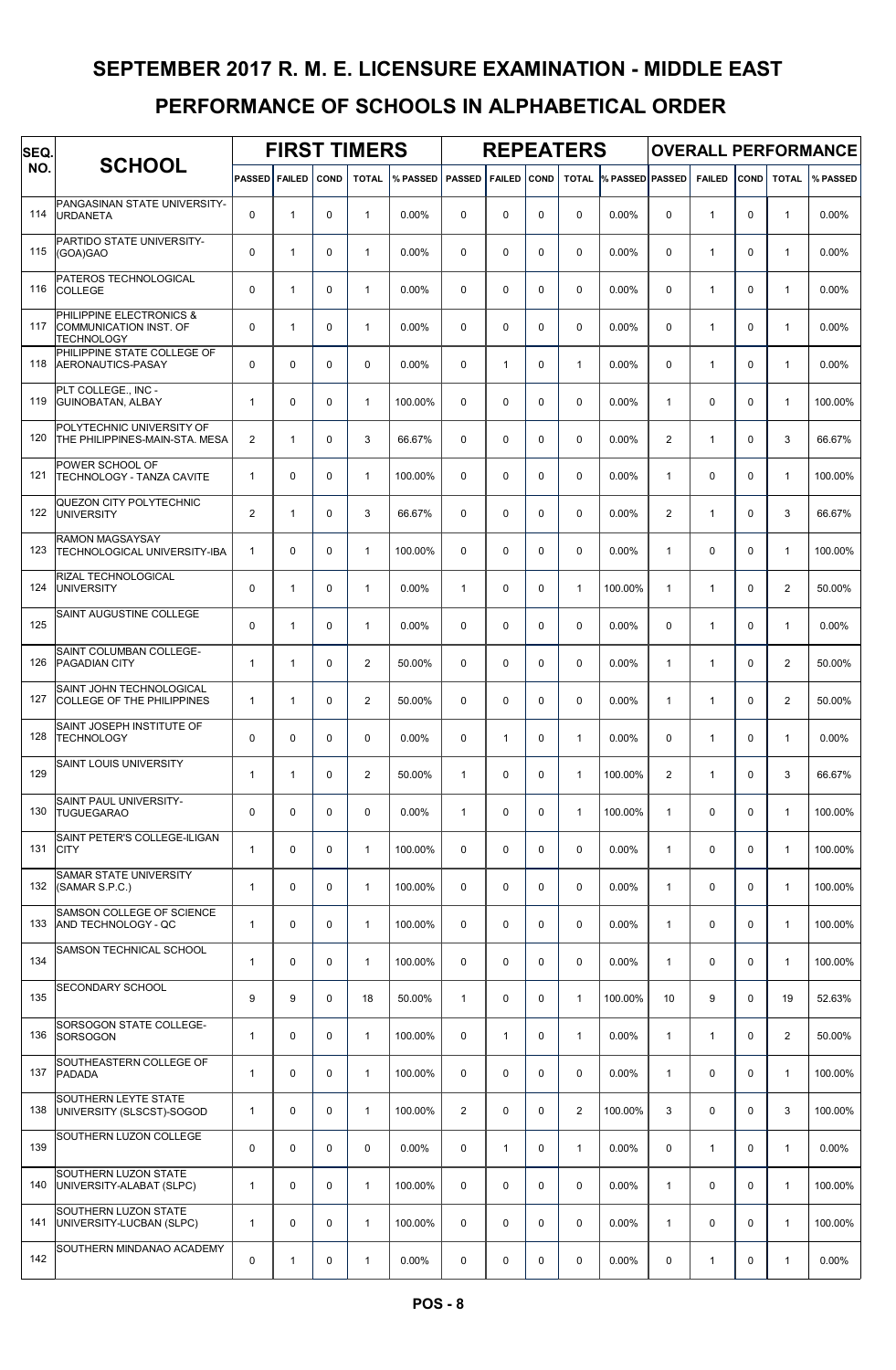| SEQ. |                                                                         |                      |              |             | <b>FIRST TIMERS</b> |          |               |               |             | <b>REPEATERS</b> |                 |                |               |              |                | <b>OVERALL PERFORMANCE</b> |
|------|-------------------------------------------------------------------------|----------------------|--------------|-------------|---------------------|----------|---------------|---------------|-------------|------------------|-----------------|----------------|---------------|--------------|----------------|----------------------------|
| NO.  | <b>SCHOOL</b>                                                           | <b>PASSED FAILED</b> |              | COND        | <b>TOTAL</b>        | % PASSED | <b>PASSED</b> | <b>FAILED</b> | COND        | <b>TOTAL</b>     | % PASSED PASSED |                | <b>FAILED</b> | COND         | <b>TOTAL</b>   | % PASSED                   |
| 114  | PANGASINAN STATE UNIVERSITY-<br><b>URDANETA</b>                         | $\mathbf 0$          | $\mathbf{1}$ | $\mathbf 0$ | $\mathbf{1}$        | $0.00\%$ | 0             | 0             | $\mathbf 0$ | $\mathbf 0$      | $0.00\%$        | $\mathbf 0$    | $\mathbf{1}$  | $\mathbf 0$  | $\mathbf{1}$   | 0.00%                      |
| 115  | PARTIDO STATE UNIVERSITY-<br>(GOA)GAO                                   | 0                    | $\mathbf{1}$ | $\mathbf 0$ | $\mathbf{1}$        | $0.00\%$ | 0             | 0             | $\mathbf 0$ | $\mathbf 0$      | $0.00\%$        | $\mathbf 0$    | $\mathbf{1}$  | $\mathbf 0$  | $\mathbf{1}$   | 0.00%                      |
| 116  | PATEROS TECHNOLOGICAL<br>COLLEGE                                        | 0                    | $\mathbf{1}$ | $\mathbf 0$ | $\mathbf{1}$        | $0.00\%$ | $\Omega$      | 0             | $\mathbf 0$ | $\mathbf 0$      | $0.00\%$        | $\mathbf 0$    | $\mathbf{1}$  | $\mathbf 0$  | $\mathbf{1}$   | 0.00%                      |
| 117  | PHILIPPINE ELECTRONICS &<br>COMMUNICATION INST. OF<br><b>TECHNOLOGY</b> | $\mathbf 0$          | $\mathbf{1}$ | 0           | $\mathbf{1}$        | $0.00\%$ | 0             | 0             | $\mathbf 0$ | 0                | $0.00\%$        | $\mathbf 0$    | $\mathbf{1}$  | $\mathbf 0$  | $\mathbf{1}$   | 0.00%                      |
| 118  | PHILIPPINE STATE COLLEGE OF<br>AERONAUTICS-PASAY                        | 0                    | $\mathbf 0$  | $\mathbf 0$ | $\mathbf 0$         | 0.00%    | 0             | $\mathbf{1}$  | $\mathbf 0$ | $\mathbf{1}$     | 0.00%           | $\mathbf 0$    | $\mathbf{1}$  | $\mathbf 0$  | $\mathbf{1}$   | 0.00%                      |
| 119  | PLT COLLEGE., INC -<br><b>GUINOBATAN, ALBAY</b>                         | $\mathbf{1}$         | 0            | 0           | $\mathbf{1}$        | 100.00%  | 0             | 0             | $\mathbf 0$ | $\mathbf 0$      | $0.00\%$        | $\mathbf{1}$   | $\mathbf 0$   | $\mathbf 0$  | $\mathbf{1}$   | 100.00%                    |
| 120  | POLYTECHNIC UNIVERSITY OF<br>THE PHILIPPINES-MAIN-STA. MESA             | $\overline{2}$       | $\mathbf{1}$ | 0           | 3                   | 66.67%   | $\Omega$      | 0             | $\mathbf 0$ | $\mathbf 0$      | $0.00\%$        | $\overline{2}$ | $\mathbf{1}$  | $\Omega$     | 3              | 66.67%                     |
| 121  | POWER SCHOOL OF<br>TECHNOLOGY - TANZA CAVITE                            | $\mathbf{1}$         | 0            | 0           | $\mathbf{1}$        | 100.00%  | 0             | $\Omega$      | $\mathbf 0$ | $\mathbf 0$      | $0.00\%$        | $\mathbf{1}$   | $\mathbf 0$   | $\Omega$     | $\mathbf{1}$   | 100.00%                    |
| 122  | QUEZON CITY POLYTECHNIC<br><b>UNIVERSITY</b>                            | $\overline{2}$       | $\mathbf{1}$ | $\mathbf 0$ | 3                   | 66.67%   | $\mathbf 0$   | 0             | $\mathbf 0$ | $\mathbf 0$      | 0.00%           | 2              | $\mathbf{1}$  | $\mathbf 0$  | 3              | 66.67%                     |
| 123  | <b>RAMON MAGSAYSAY</b><br>TECHNOLOGICAL UNIVERSITY-IBA                  | $\mathbf{1}$         | $\mathbf 0$  | $\mathbf 0$ | $\mathbf{1}$        | 100.00%  | $\mathbf 0$   | 0             | $\mathbf 0$ | $\mathbf 0$      | $0.00\%$        | $\mathbf{1}$   | $\mathbf 0$   | $\mathbf 0$  | $\mathbf{1}$   | 100.00%                    |
| 124  | RIZAL TECHNOLOGICAL<br><b>UNIVERSITY</b>                                | 0                    | $\mathbf{1}$ | $\mathbf 0$ | $\mathbf{1}$        | $0.00\%$ | $\mathbf{1}$  | 0             | $\mathbf 0$ | $\mathbf{1}$     | 100.00%         | $\mathbf{1}$   | $\mathbf{1}$  | $\Omega$     | $\overline{2}$ | 50.00%                     |
| 125  | SAINT AUGUSTINE COLLEGE                                                 | 0                    | $\mathbf{1}$ | 0           | $\mathbf{1}$        | $0.00\%$ | 0             | 0             | $\mathbf 0$ | $\mathbf 0$      | $0.00\%$        | $\mathbf 0$    | $\mathbf{1}$  | $\mathbf 0$  | $\mathbf{1}$   | 0.00%                      |
| 126  | SAINT COLUMBAN COLLEGE-<br><b>PAGADIAN CITY</b>                         | $\mathbf{1}$         | $\mathbf{1}$ | $\mathbf 0$ | $\overline{2}$      | 50.00%   | $\mathbf 0$   | 0             | $\mathbf 0$ | $\mathbf 0$      | 0.00%           | $\mathbf{1}$   | $\mathbf{1}$  | $\mathbf 0$  | $\overline{2}$ | 50.00%                     |
| 127  | SAINT JOHN TECHNOLOGICAL<br>COLLEGE OF THE PHILIPPINES                  | $\mathbf{1}$         | $\mathbf{1}$ | $\mathbf 0$ | 2                   | 50.00%   | 0             | $\Omega$      | $\mathbf 0$ | $\mathbf 0$      | $0.00\%$        | $\mathbf{1}$   | $\mathbf{1}$  | $\Omega$     | $\overline{2}$ | 50.00%                     |
| 128  | SAINT JOSEPH INSTITUTE OF<br><b>TECHNOLOGY</b>                          | 0                    | $\mathbf 0$  | $\mathbf 0$ | $\Omega$            | $0.00\%$ | $\Omega$      | $\mathbf{1}$  | $\mathbf 0$ | $\mathbf{1}$     | $0.00\%$        | $\mathbf 0$    | $\mathbf{1}$  | $\mathbf{0}$ | $\mathbf{1}$   | 0.00%                      |
| 129  | SAINT LOUIS UNIVERSITY                                                  | $\mathbf{1}$         | $\mathbf{1}$ | 0           | $\overline{2}$      | 50.00%   | $\mathbf{1}$  | 0             | $\mathbf 0$ | $\mathbf{1}$     | 100.00%         | $\overline{2}$ | $\mathbf{1}$  | $\Omega$     | 3              | 66.67%                     |
| 130  | SAINT PAUL UNIVERSITY-<br><b>TUGUEGARAO</b>                             | $\mathbf 0$          | $\mathbf 0$  | $\mathbf 0$ | $\mathbf 0$         | $0.00\%$ | $\mathbf{1}$  | 0             | $\mathsf 0$ | $\mathbf{1}$     | 100.00%         | $\mathbf{1}$   | $\mathbf 0$   | $\mathbf 0$  | $\mathbf{1}$   | 100.00%                    |
| 131  | SAINT PETER'S COLLEGE-ILIGAN<br><b>CITY</b>                             | $\mathbf{1}$         | 0            | $\mathbf 0$ | $\mathbf{1}$        | 100.00%  | $\mathbf 0$   | 0             | $\mathbf 0$ | $\mathbf 0$      | 0.00%           | $\mathbf{1}$   | 0             | $\mathbf 0$  | $\mathbf{1}$   | 100.00%                    |
| 132  | SAMAR STATE UNIVERSITY<br>(SAMAR S.P.C.)                                | $\mathbf{1}$         | $\mathbf 0$  | $\mathbf 0$ | $\mathbf{1}$        | 100.00%  | $\mathbf 0$   | 0             | 0           | $\mathbf 0$      | 0.00%           | $\mathbf{1}$   | $\mathbf 0$   | $\mathbf 0$  | $\mathbf{1}$   | 100.00%                    |
| 133  | SAMSON COLLEGE OF SCIENCE<br>AND TECHNOLOGY - QC                        | $\mathbf{1}$         | 0            | 0           | $\mathbf{1}$        | 100.00%  | 0             | 0             | $\mathbf 0$ | $\mathbf 0$      | 0.00%           | $\mathbf{1}$   | $\mathbf 0$   | $\mathbf 0$  | $\mathbf{1}$   | 100.00%                    |
| 134  | SAMSON TECHNICAL SCHOOL                                                 | $\mathbf{1}$         | 0            | $\mathbf 0$ | $\mathbf{1}$        | 100.00%  | $\mathbf 0$   | 0             | 0           | $\mathbf 0$      | 0.00%           | $\mathbf{1}$   | $\mathbf 0$   | $\mathbf 0$  | $\mathbf{1}$   | 100.00%                    |
| 135  | <b>SECONDARY SCHOOL</b>                                                 | 9                    | 9            | $\mathbf 0$ | 18                  | 50.00%   | $\mathbf{1}$  | 0             | $\mathbf 0$ | $\mathbf{1}$     | 100.00%         | 10             | 9             | $\mathbf 0$  | 19             | 52.63%                     |
| 136  | SORSOGON STATE COLLEGE-<br><b>SORSOGON</b>                              | $\mathbf{1}$         | 0            | $\mathbf 0$ | $\mathbf{1}$        | 100.00%  | $\mathbf 0$   | $\mathbf{1}$  | 0           | $\mathbf{1}$     | 0.00%           | $\mathbf{1}$   | $\mathbf{1}$  | $\mathbf 0$  | 2              | 50.00%                     |
| 137  | SOUTHEASTERN COLLEGE OF<br><b>PADADA</b>                                | $\mathbf{1}$         | $\mathbf 0$  | $\mathbf 0$ | $\mathbf{1}$        | 100.00%  | $\mathbf 0$   | 0             | $\mathbf 0$ | $\mathbf 0$      | 0.00%           | $\mathbf{1}$   | 0             | $\mathbf 0$  | $\mathbf{1}$   | 100.00%                    |
| 138  | SOUTHERN LEYTE STATE<br>UNIVERSITY (SLSCST)-SOGOD                       | $\mathbf{1}$         | 0            | $\mathbf 0$ | $\mathbf{1}$        | 100.00%  | 2             | 0             | $\pmb{0}$   | $\overline{2}$   | 100.00%         | 3              | $\mathbf 0$   | $\mathbf 0$  | 3              | 100.00%                    |
| 139  | SOUTHERN LUZON COLLEGE                                                  | 0                    | $\mathbf 0$  | $\mathbf 0$ | $\mathbf 0$         | 0.00%    | $\mathbf 0$   | $\mathbf{1}$  | $\mathbf 0$ | $\mathbf{1}$     | 0.00%           | $\mathbf 0$    | $\mathbf{1}$  | $\mathbf 0$  | $\mathbf{1}$   | $0.00\%$                   |
| 140  | <b>SOUTHERN LUZON STATE</b><br>UNIVERSITY-ALABAT (SLPC)                 | $\mathbf{1}$         | $\mathbf 0$  | $\mathbf 0$ | $\mathbf{1}$        | 100.00%  | $\mathbf 0$   | 0             | $\mathbf 0$ | $\mathbf 0$      | 0.00%           | $\mathbf{1}$   | $\mathbf 0$   | $\mathbf 0$  | $\mathbf{1}$   | 100.00%                    |
| 141  | <b>SOUTHERN LUZON STATE</b><br>UNIVERSITY-LUCBAN (SLPC)                 | $\mathbf{1}$         | 0            | 0           | $\mathbf{1}$        | 100.00%  | 0             | 0             | $\mathbf 0$ | $\mathbf 0$      | 0.00%           | $\mathbf{1}$   | $\mathbf 0$   | $\mathbf 0$  | $\mathbf{1}$   | 100.00%                    |
| 142  | SOUTHERN MINDANAO ACADEMY                                               | 0                    | $\mathbf{1}$ | 0           | $\mathbf{1}$        | 0.00%    | 0             | 0             | $\pmb{0}$   | 0                | 0.00%           | 0              | $\mathbf{1}$  | 0            | $\mathbf{1}$   | 0.00%                      |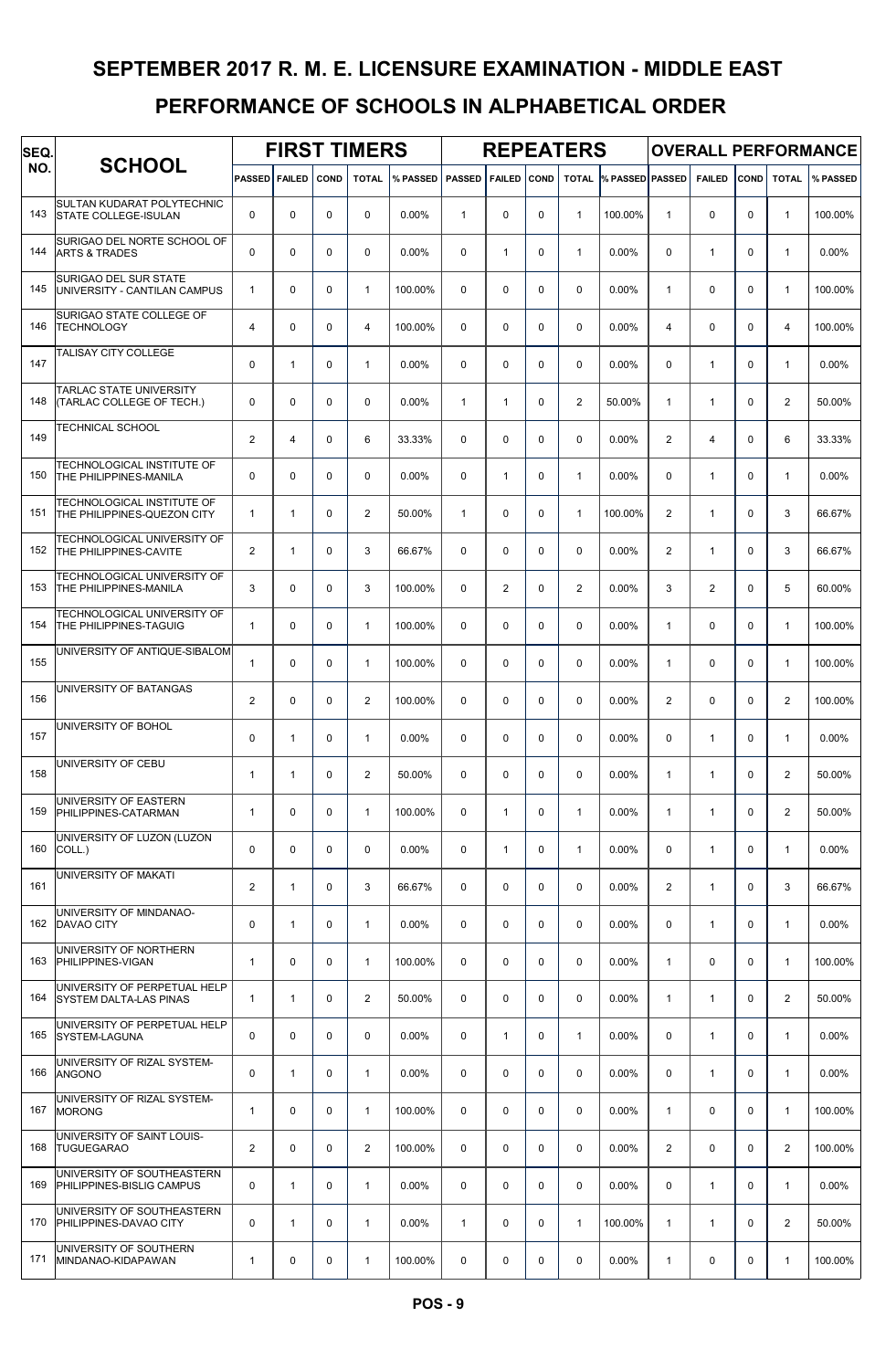| SEQ. |                                                               |                      |              |             | <b>FIRST TIMERS</b> |          |               |                |      | <b>REPEATERS</b> |                 |                |                |             |                | <b>OVERALL PERFORMANCE</b> |
|------|---------------------------------------------------------------|----------------------|--------------|-------------|---------------------|----------|---------------|----------------|------|------------------|-----------------|----------------|----------------|-------------|----------------|----------------------------|
| NO.  | <b>SCHOOL</b>                                                 | <b>PASSED FAILED</b> |              | COND        | <b>TOTAL</b>        | % PASSED | <b>PASSED</b> | <b>FAILED</b>  | COND | <b>TOTAL</b>     | % PASSED PASSED |                | <b>FAILED</b>  | COND        | <b>TOTAL</b>   | % PASSED                   |
| 143  | SULTAN KUDARAT POLYTECHNIC<br><b>STATE COLLEGE-ISULAN</b>     | $\mathbf 0$          | 0            | $\mathbf 0$ | $\mathbf 0$         | 0.00%    | $\mathbf{1}$  | 0              | 0    | 1                | 100.00%         | $\mathbf{1}$   | 0              | $\mathbf 0$ | $\mathbf{1}$   | 100.00%                    |
| 144  | SURIGAO DEL NORTE SCHOOL OF<br><b>ARTS &amp; TRADES</b>       | $\mathbf 0$          | 0            | $\mathbf 0$ | $\mathbf 0$         | 0.00%    | $\mathbf 0$   | $\mathbf{1}$   | 0    | $\mathbf{1}$     | 0.00%           | $\mathbf 0$    | $\mathbf{1}$   | $\mathbf 0$ | $\mathbf{1}$   | 0.00%                      |
| 145  | SURIGAO DEL SUR STATE<br>UNIVERSITY - CANTILAN CAMPUS         | $\mathbf{1}$         | 0            | $\mathbf 0$ | $\mathbf{1}$        | 100.00%  | $\mathbf 0$   | 0              | 0    | 0                | 0.00%           | $\mathbf{1}$   | 0              | $\mathbf 0$ | $\mathbf{1}$   | 100.00%                    |
| 146  | SURIGAO STATE COLLEGE OF<br>TECHNOLOGY                        | 4                    | $\mathbf 0$  | 0           | $\overline{4}$      | 100.00%  | $\Omega$      | 0              | 0    | 0                | 0.00%           | $\overline{4}$ | 0              | $\mathbf 0$ | $\overline{4}$ | 100.00%                    |
| 147  | TALISAY CITY COLLEGE                                          | $\mathbf 0$          | $\mathbf{1}$ | $\mathbf 0$ | $\overline{1}$      | 0.00%    | $\mathbf 0$   | 0              | 0    | 0                | 0.00%           | $\mathbf 0$    | $\mathbf{1}$   | $\mathbf 0$ | $\mathbf{1}$   | 0.00%                      |
| 148  | <b>TARLAC STATE UNIVERSITY</b><br>(TARLAC COLLEGE OF TECH.)   | $\mathbf 0$          | $\mathbf 0$  | $\mathbf 0$ | $\mathbf 0$         | 0.00%    | $\mathbf{1}$  | $\mathbf{1}$   | 0    | $\overline{c}$   | 50.00%          | $\mathbf{1}$   | $\mathbf{1}$   | $\mathbf 0$ | 2              | 50.00%                     |
| 149  | TECHNICAL SCHOOL                                              | $\overline{2}$       | 4            | $\mathbf 0$ | 6                   | 33.33%   | $\Omega$      | 0              | 0    | 0                | 0.00%           | 2              | $\overline{4}$ | $\Omega$    | 6              | 33.33%                     |
| 150  | TECHNOLOGICAL INSTITUTE OF<br>THE PHILIPPINES-MANILA          | $\mathbf 0$          | 0            | $\mathbf 0$ | $\mathbf 0$         | 0.00%    | $\Omega$      | $\mathbf{1}$   | 0    | $\mathbf{1}$     | $0.00\%$        | 0              | $\mathbf{1}$   | $\Omega$    | $\mathbf{1}$   | 0.00%                      |
| 151  | TECHNOLOGICAL INSTITUTE OF<br>THE PHILIPPINES-QUEZON CITY     | $\mathbf{1}$         | $\mathbf{1}$ | $\mathbf 0$ | $\overline{2}$      | 50.00%   | $\mathbf{1}$  | 0              | 0    | $\mathbf{1}$     | 100.00%         | $\overline{2}$ | $\mathbf{1}$   | $\Omega$    | 3              | 66.67%                     |
| 152  | TECHNOLOGICAL UNIVERSITY OF<br>THE PHILIPPINES-CAVITE         | $\overline{2}$       | $\mathbf{1}$ | $\mathbf 0$ | 3                   | 66.67%   | $\mathbf 0$   | 0              | 0    | $\mathbf 0$      | 0.00%           | 2              | $\mathbf{1}$   | $\mathbf 0$ | 3              | 66.67%                     |
| 153  | TECHNOLOGICAL UNIVERSITY OF<br><b>THE PHILIPPINES-MANILA</b>  | 3                    | 0            | $\mathbf 0$ | 3                   | 100.00%  | $\mathbf 0$   | $\overline{2}$ | 0    | 2                | 0.00%           | 3              | 2              | $\mathbf 0$ | 5              | 60.00%                     |
| 154  | TECHNOLOGICAL UNIVERSITY OF<br>THE PHILIPPINES-TAGUIG         | $\mathbf{1}$         | 0            | 0           | $\mathbf{1}$        | 100.00%  | $\Omega$      | 0              | 0    | 0                | 0.00%           | $\mathbf{1}$   | 0              | $\mathbf 0$ | $\mathbf{1}$   | 100.00%                    |
| 155  | UNIVERSITY OF ANTIQUE-SIBALOM                                 | $\mathbf{1}$         | 0            | $\mathbf 0$ | $\mathbf{1}$        | 100.00%  | $\mathbf 0$   | 0              | 0    | 0                | 0.00%           | $\mathbf{1}$   | 0              | $\mathbf 0$ | $\mathbf{1}$   | 100.00%                    |
| 156  | UNIVERSITY OF BATANGAS                                        | $\overline{2}$       | 0            | $\mathbf 0$ | $\overline{2}$      | 100.00%  | $\Omega$      | 0              | 0    | 0                | 0.00%           | 2              | 0              | $\Omega$    | 2              | 100.00%                    |
| 157  | UNIVERSITY OF BOHOL                                           | 0                    | $\mathbf{1}$ | $\mathbf 0$ | $\mathbf{1}$        | 0.00%    | $\Omega$      | 0              | 0    | 0                | 0.00%           | $\mathbf 0$    | $\mathbf{1}$   | $\Omega$    | $\mathbf{1}$   | 0.00%                      |
| 158  | UNIVERSITY OF CEBU                                            | $\mathbf{1}$         | $\mathbf{1}$ | 0           | $\overline{2}$      | 50.00%   | $\Omega$      | 0              | 0    | 0                | 0.00%           | $\mathbf{1}$   | $\mathbf{1}$   | $\Omega$    | $\overline{2}$ | 50.00%                     |
| 159  | UNIVERSITY OF EASTERN<br>PHILIPPINES-CATARMAN                 | $\mathbf{1}$         | 0            | 0           | $\mathbf{1}$        | 100.00%  | $\mathbf 0$   | $\mathbf{1}$   | 0    | $\mathbf{1}$     | 0.00%           | $\mathbf{1}$   | $\mathbf{1}$   | $\mathbf 0$ | 2              | 50.00%                     |
| 160  | UNIVERSITY OF LUZON (LUZON<br>COLL.)                          | 0                    | 0            | 0           | $\mathbf 0$         | 0.00%    | $\mathbf 0$   | $\mathbf{1}$   | 0    | $\mathbf{1}$     | 0.00%           | 0              | $\mathbf{1}$   | $\mathbf 0$ | $\mathbf{1}$   | 0.00%                      |
| 161  | UNIVERSITY OF MAKATI                                          | $\overline{2}$       | $\mathbf{1}$ | $\mathbf 0$ | 3                   | 66.67%   | $\mathbf 0$   | 0              | 0    | $\mathbf 0$      | 0.00%           | 2              | $\mathbf{1}$   | $\mathbf 0$ | 3              | 66.67%                     |
| 162  | UNIVERSITY OF MINDANAO-<br>DAVAO CITY                         | $\mathbf 0$          | $\mathbf{1}$ | $\mathbf 0$ | $\mathbf{1}$        | 0.00%    | $\mathbf 0$   | 0              | 0    | 0                | 0.00%           | $\mathbf 0$    | $\mathbf{1}$   | $\mathbf 0$ | $\mathbf{1}$   | 0.00%                      |
| 163  | UNIVERSITY OF NORTHERN<br><b>PHILIPPINES-VIGAN</b>            | $\mathbf{1}$         | 0            | $\mathbf 0$ | $\mathbf{1}$        | 100.00%  | $\mathbf 0$   | 0              | 0    | $\mathbf 0$      | 0.00%           | $\mathbf{1}$   | 0              | $\mathbf 0$ | $\mathbf{1}$   | 100.00%                    |
| 164  | UNIVERSITY OF PERPETUAL HELP<br><b>SYSTEM DALTA-LAS PINAS</b> | $\mathbf{1}$         | $\mathbf{1}$ | 0           | 2                   | 50.00%   | $\mathbf 0$   | 0              | 0    | $\mathbf 0$      | 0.00%           | $\mathbf{1}$   | $\mathbf{1}$   | $\mathbf 0$ | 2              | 50.00%                     |
| 165  | UNIVERSITY OF PERPETUAL HELP<br><b>SYSTEM-LAGUNA</b>          | 0                    | 0            | $\mathbf 0$ | $\mathbf 0$         | 0.00%    | $\mathbf 0$   | $\mathbf{1}$   | 0    | $\mathbf{1}$     | 0.00%           | $\mathbf 0$    | $\mathbf{1}$   | $\mathbf 0$ | $\mathbf{1}$   | 0.00%                      |
| 166  | UNIVERSITY OF RIZAL SYSTEM-<br><b>ANGONO</b>                  | 0                    | $\mathbf{1}$ | $\mathbf 0$ | $\mathbf{1}$        | 0.00%    | $\mathbf 0$   | 0              | 0    | $\mathbf 0$      | 0.00%           | $\mathbf 0$    | $\mathbf{1}$   | $\mathbf 0$ | $\mathbf{1}$   | 0.00%                      |
| 167  | UNIVERSITY OF RIZAL SYSTEM-<br><b>MORONG</b>                  | $\mathbf{1}$         | 0            | 0           | $\mathbf{1}$        | 100.00%  | $\mathbf 0$   | 0              | 0    | $\mathbf 0$      | 0.00%           | $\mathbf{1}$   | 0              | $\mathbf 0$ | $\mathbf{1}$   | 100.00%                    |
| 168  | UNIVERSITY OF SAINT LOUIS-<br><b>TUGUEGARAO</b>               | $\overline{2}$       | 0            | 0           | 2                   | 100.00%  | $\mathbf 0$   | 0              | 0    | $\mathbf 0$      | 0.00%           | $\overline{2}$ | 0              | $\mathbf 0$ | 2              | 100.00%                    |
| 169  | UNIVERSITY OF SOUTHEASTERN<br>PHILIPPINES-BISLIG CAMPUS       | 0                    | $\mathbf{1}$ | $\mathbf 0$ | $\mathbf{1}$        | 0.00%    | $\mathbf 0$   | 0              | 0    | $\mathbf 0$      | 0.00%           | $\mathbf 0$    | $\mathbf{1}$   | $\mathbf 0$ | $\mathbf{1}$   | 0.00%                      |
| 170  | UNIVERSITY OF SOUTHEASTERN<br>PHILIPPINES-DAVAO CITY          | $\mathbf 0$          | $\mathbf{1}$ | $\mathbf 0$ | $\mathbf{1}$        | 0.00%    | $\mathbf{1}$  | 0              | 0    | $\mathbf{1}$     | 100.00%         | $\mathbf{1}$   | $\mathbf{1}$   | $\Omega$    | 2              | 50.00%                     |
| 171  | UNIVERSITY OF SOUTHERN<br>MINDANAO-KIDAPAWAN                  | $\mathbf{1}$         | 0            | 0           | $\mathbf{1}$        | 100.00%  | 0             | 0              | 0    | 0                | 0.00%           | $\mathbf{1}$   | 0              | 0           | $\mathbf{1}$   | 100.00%                    |